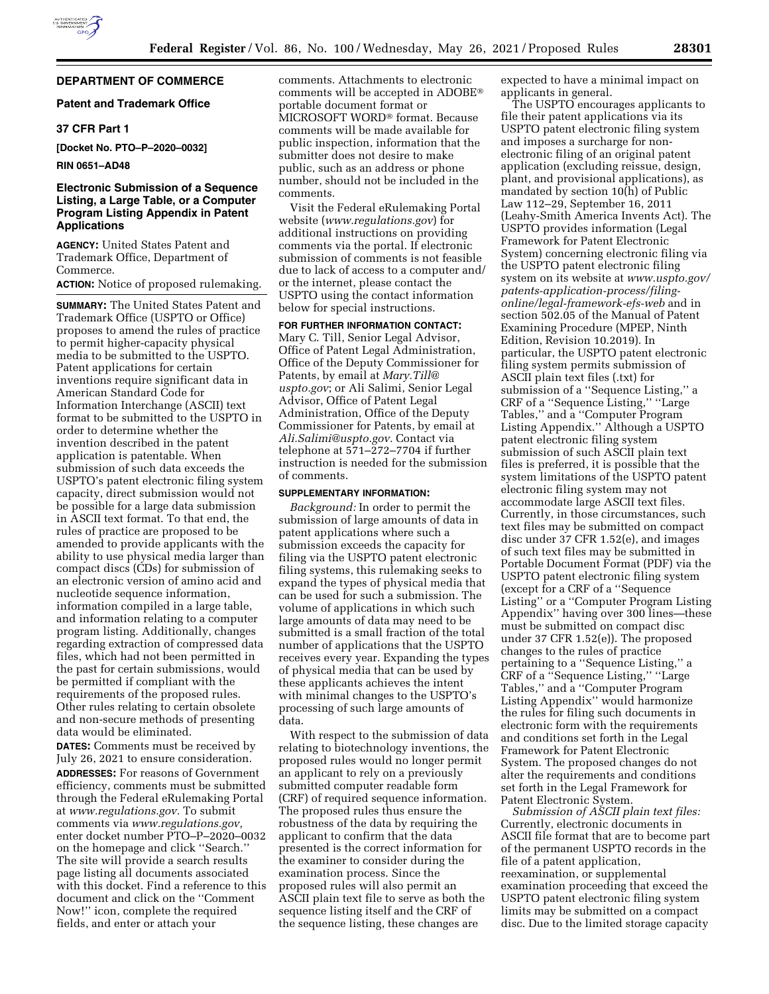# **DEPARTMENT OF COMMERCE**

## **Patent and Trademark Office**

# **37 CFR Part 1**

**[Docket No. PTO–P–2020–0032]** 

#### **RIN 0651–AD48**

## **Electronic Submission of a Sequence Listing, a Large Table, or a Computer Program Listing Appendix in Patent Applications**

**AGENCY:** United States Patent and Trademark Office, Department of Commerce.

## **ACTION:** Notice of proposed rulemaking.

**SUMMARY:** The United States Patent and Trademark Office (USPTO or Office) proposes to amend the rules of practice to permit higher-capacity physical media to be submitted to the USPTO. Patent applications for certain inventions require significant data in American Standard Code for Information Interchange (ASCII) text format to be submitted to the USPTO in order to determine whether the invention described in the patent application is patentable. When submission of such data exceeds the USPTO's patent electronic filing system capacity, direct submission would not be possible for a large data submission in ASCII text format. To that end, the rules of practice are proposed to be amended to provide applicants with the ability to use physical media larger than compact discs (CDs) for submission of an electronic version of amino acid and nucleotide sequence information, information compiled in a large table, and information relating to a computer program listing. Additionally, changes regarding extraction of compressed data files, which had not been permitted in the past for certain submissions, would be permitted if compliant with the requirements of the proposed rules. Other rules relating to certain obsolete and non-secure methods of presenting data would be eliminated.

**DATES:** Comments must be received by July 26, 2021 to ensure consideration. **ADDRESSES:** For reasons of Government efficiency, comments must be submitted through the Federal eRulemaking Portal at *[www.regulations.gov.](http://www.regulations.gov)* To submit comments via *[www.regulations.gov,](http://www.regulations.gov)*  enter docket number PTO–P–2020–0032 on the homepage and click ''Search.'' The site will provide a search results page listing all documents associated with this docket. Find a reference to this document and click on the ''Comment Now!'' icon, complete the required fields, and enter or attach your

comments. Attachments to electronic comments will be accepted in ADOBE® portable document format or MICROSOFT WORD® format. Because comments will be made available for public inspection, information that the submitter does not desire to make public, such as an address or phone number, should not be included in the comments.

Visit the Federal eRulemaking Portal website (*[www.regulations.gov](http://www.regulations.gov)*) for additional instructions on providing comments via the portal. If electronic submission of comments is not feasible due to lack of access to a computer and/ or the internet, please contact the USPTO using the contact information below for special instructions.

# **FOR FURTHER INFORMATION CONTACT:**

Mary C. Till, Senior Legal Advisor, Office of Patent Legal Administration, Office of the Deputy Commissioner for Patents, by email at *[Mary.Till@](mailto:Mary.Till@uspto.gov) [uspto.gov](mailto:Mary.Till@uspto.gov)*; or Ali Salimi, Senior Legal Advisor, Office of Patent Legal Administration, Office of the Deputy Commissioner for Patents, by email at *[Ali.Salimi@uspto.gov.](mailto:Ali.Salimi@uspto.gov)* Contact via telephone at 571–272–7704 if further instruction is needed for the submission of comments.

#### **SUPPLEMENTARY INFORMATION:**

*Background:* In order to permit the submission of large amounts of data in patent applications where such a submission exceeds the capacity for filing via the USPTO patent electronic filing systems, this rulemaking seeks to expand the types of physical media that can be used for such a submission. The volume of applications in which such large amounts of data may need to be submitted is a small fraction of the total number of applications that the USPTO receives every year. Expanding the types of physical media that can be used by these applicants achieves the intent with minimal changes to the USPTO's processing of such large amounts of data.

With respect to the submission of data relating to biotechnology inventions, the proposed rules would no longer permit an applicant to rely on a previously submitted computer readable form (CRF) of required sequence information. The proposed rules thus ensure the robustness of the data by requiring the applicant to confirm that the data presented is the correct information for the examiner to consider during the examination process. Since the proposed rules will also permit an ASCII plain text file to serve as both the sequence listing itself and the CRF of the sequence listing, these changes are

expected to have a minimal impact on applicants in general.

The USPTO encourages applicants to file their patent applications via its USPTO patent electronic filing system and imposes a surcharge for nonelectronic filing of an original patent application (excluding reissue, design, plant, and provisional applications), as mandated by section 10(h) of Public Law 112–29, September 16, 2011 (Leahy-Smith America Invents Act). The USPTO provides information (Legal Framework for Patent Electronic System) concerning electronic filing via the USPTO patent electronic filing system on its website at *[www.uspto.gov/](http://www.uspto.gov/patents-application-process/filing-online/legal-framework-efs-web) [patents-application-process/filing](http://www.uspto.gov/patents-application-process/filing-online/legal-framework-efs-web)[online/legal-framework-efs-web](http://www.uspto.gov/patents-application-process/filing-online/legal-framework-efs-web)* and in section 502.05 of the Manual of Patent Examining Procedure (MPEP, Ninth Edition, Revision 10.2019). In particular, the USPTO patent electronic filing system permits submission of ASCII plain text files (.txt) for submission of a ''Sequence Listing,'' a CRF of a ''Sequence Listing,'' ''Large Tables,'' and a ''Computer Program Listing Appendix.'' Although a USPTO patent electronic filing system submission of such ASCII plain text files is preferred, it is possible that the system limitations of the USPTO patent electronic filing system may not accommodate large ASCII text files. Currently, in those circumstances, such text files may be submitted on compact disc under 37 CFR 1.52(e), and images of such text files may be submitted in Portable Document Format (PDF) via the USPTO patent electronic filing system (except for a CRF of a ''Sequence Listing'' or a ''Computer Program Listing Appendix" having over 300 lines—these must be submitted on compact disc under 37 CFR 1.52(e)). The proposed changes to the rules of practice pertaining to a ''Sequence Listing,'' a CRF of a ''Sequence Listing,'' ''Large Tables,'' and a ''Computer Program Listing Appendix'' would harmonize the rules for filing such documents in electronic form with the requirements and conditions set forth in the Legal Framework for Patent Electronic System. The proposed changes do not alter the requirements and conditions set forth in the Legal Framework for Patent Electronic System.

*Submission of ASCII plain text files:*  Currently, electronic documents in ASCII file format that are to become part of the permanent USPTO records in the file of a patent application, reexamination, or supplemental examination proceeding that exceed the USPTO patent electronic filing system limits may be submitted on a compact disc. Due to the limited storage capacity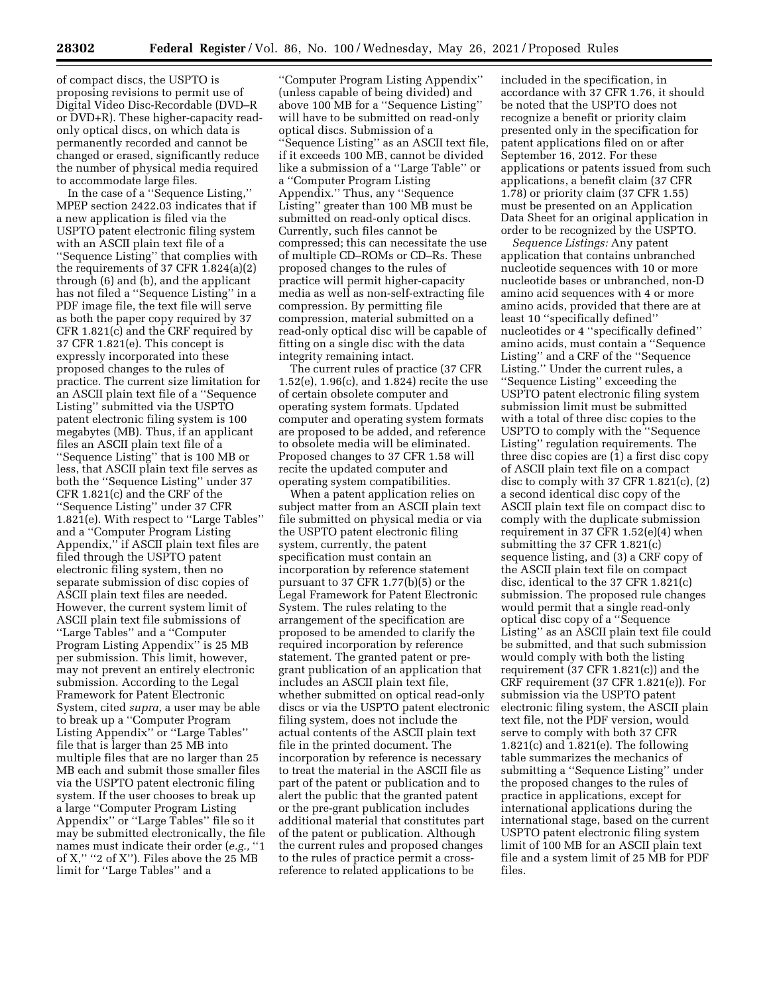of compact discs, the USPTO is proposing revisions to permit use of Digital Video Disc-Recordable (DVD–R or DVD+R). These higher-capacity readonly optical discs, on which data is permanently recorded and cannot be changed or erased, significantly reduce the number of physical media required to accommodate large files.

In the case of a ''Sequence Listing,'' MPEP section 2422.03 indicates that if a new application is filed via the USPTO patent electronic filing system with an ASCII plain text file of a ''Sequence Listing'' that complies with the requirements of 37 CFR 1.824(a)(2) through (6) and (b), and the applicant has not filed a ''Sequence Listing'' in a PDF image file, the text file will serve as both the paper copy required by 37 CFR 1.821(c) and the CRF required by 37 CFR 1.821(e). This concept is expressly incorporated into these proposed changes to the rules of practice. The current size limitation for an ASCII plain text file of a ''Sequence Listing'' submitted via the USPTO patent electronic filing system is 100 megabytes (MB). Thus, if an applicant files an ASCII plain text file of a ''Sequence Listing'' that is 100 MB or less, that ASCII plain text file serves as both the ''Sequence Listing'' under 37 CFR 1.821(c) and the CRF of the ''Sequence Listing'' under 37 CFR 1.821(e). With respect to ''Large Tables'' and a ''Computer Program Listing Appendix,'' if ASCII plain text files are filed through the USPTO patent electronic filing system, then no separate submission of disc copies of ASCII plain text files are needed. However, the current system limit of ASCII plain text file submissions of ''Large Tables'' and a ''Computer Program Listing Appendix'' is 25 MB per submission. This limit, however, may not prevent an entirely electronic submission. According to the Legal Framework for Patent Electronic System, cited *supra,* a user may be able to break up a ''Computer Program Listing Appendix'' or ''Large Tables'' file that is larger than 25 MB into multiple files that are no larger than 25 MB each and submit those smaller files via the USPTO patent electronic filing system. If the user chooses to break up a large ''Computer Program Listing Appendix'' or ''Large Tables'' file so it may be submitted electronically, the file names must indicate their order (*e.g.,* ''1 of  $X$ ," "2 of  $X$ "). Files above the 25 MB limit for ''Large Tables'' and a

''Computer Program Listing Appendix'' (unless capable of being divided) and above 100 MB for a ''Sequence Listing'' will have to be submitted on read-only optical discs. Submission of a ''Sequence Listing'' as an ASCII text file, if it exceeds 100 MB, cannot be divided like a submission of a ''Large Table'' or a ''Computer Program Listing Appendix.'' Thus, any ''Sequence Listing'' greater than 100 MB must be submitted on read-only optical discs. Currently, such files cannot be compressed; this can necessitate the use of multiple CD–ROMs or CD–Rs. These proposed changes to the rules of practice will permit higher-capacity media as well as non-self-extracting file compression. By permitting file compression, material submitted on a read-only optical disc will be capable of fitting on a single disc with the data integrity remaining intact.

The current rules of practice (37 CFR 1.52(e), 1.96(c), and 1.824) recite the use of certain obsolete computer and operating system formats. Updated computer and operating system formats are proposed to be added, and reference to obsolete media will be eliminated. Proposed changes to 37 CFR 1.58 will recite the updated computer and operating system compatibilities.

When a patent application relies on subject matter from an ASCII plain text file submitted on physical media or via the USPTO patent electronic filing system, currently, the patent specification must contain an incorporation by reference statement pursuant to 37 CFR 1.77(b)(5) or the Legal Framework for Patent Electronic System. The rules relating to the arrangement of the specification are proposed to be amended to clarify the required incorporation by reference statement. The granted patent or pregrant publication of an application that includes an ASCII plain text file, whether submitted on optical read-only discs or via the USPTO patent electronic filing system, does not include the actual contents of the ASCII plain text file in the printed document. The incorporation by reference is necessary to treat the material in the ASCII file as part of the patent or publication and to alert the public that the granted patent or the pre-grant publication includes additional material that constitutes part of the patent or publication. Although the current rules and proposed changes to the rules of practice permit a crossreference to related applications to be

included in the specification, in accordance with 37 CFR 1.76, it should be noted that the USPTO does not recognize a benefit or priority claim presented only in the specification for patent applications filed on or after September 16, 2012. For these applications or patents issued from such applications, a benefit claim (37 CFR 1.78) or priority claim (37 CFR 1.55) must be presented on an Application Data Sheet for an original application in order to be recognized by the USPTO.

*Sequence Listings:* Any patent application that contains unbranched nucleotide sequences with 10 or more nucleotide bases or unbranched, non-D amino acid sequences with 4 or more amino acids, provided that there are at least 10 ''specifically defined'' nucleotides or 4 ''specifically defined'' amino acids, must contain a ''Sequence Listing'' and a CRF of the ''Sequence Listing.'' Under the current rules, a ''Sequence Listing'' exceeding the USPTO patent electronic filing system submission limit must be submitted with a total of three disc copies to the USPTO to comply with the ''Sequence Listing'' regulation requirements. The three disc copies are (1) a first disc copy of ASCII plain text file on a compact disc to comply with  $37$  CFR 1.821(c),  $(2)$ a second identical disc copy of the ASCII plain text file on compact disc to comply with the duplicate submission requirement in 37 CFR 1.52(e)(4) when submitting the 37 CFR 1.821(c) sequence listing, and (3) a CRF copy of the ASCII plain text file on compact disc, identical to the 37 CFR 1.821(c) submission. The proposed rule changes would permit that a single read-only optical disc copy of a ''Sequence Listing'' as an ASCII plain text file could be submitted, and that such submission would comply with both the listing requirement (37 CFR 1.821(c)) and the CRF requirement (37 CFR 1.821(e)). For submission via the USPTO patent electronic filing system, the ASCII plain text file, not the PDF version, would serve to comply with both 37 CFR 1.821(c) and 1.821(e). The following table summarizes the mechanics of submitting a ''Sequence Listing'' under the proposed changes to the rules of practice in applications, except for international applications during the international stage, based on the current USPTO patent electronic filing system limit of 100 MB for an ASCII plain text file and a system limit of 25 MB for PDF files.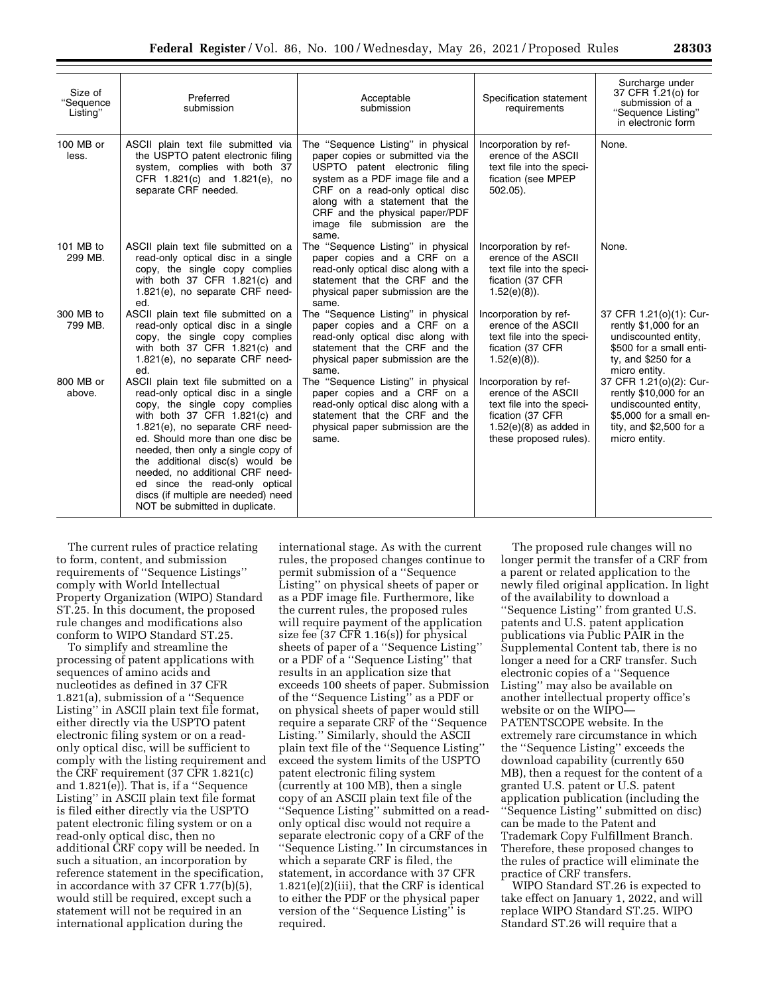| Size of<br>"Sequence<br>Listing" | Preferred<br>submission                                                                                                                                                                                                                                                                                                                                                                                                                         | Acceptable<br>submission                                                                                                                                                                                                                                                                        | Specification statement<br>requirements                                                                                                             | Surcharge under<br>37 CFR 1.21(o) for<br>submission of a<br>"Sequence Listing"<br>in electronic form                                              |
|----------------------------------|-------------------------------------------------------------------------------------------------------------------------------------------------------------------------------------------------------------------------------------------------------------------------------------------------------------------------------------------------------------------------------------------------------------------------------------------------|-------------------------------------------------------------------------------------------------------------------------------------------------------------------------------------------------------------------------------------------------------------------------------------------------|-----------------------------------------------------------------------------------------------------------------------------------------------------|---------------------------------------------------------------------------------------------------------------------------------------------------|
| 100 MB or<br>less.               | ASCII plain text file submitted via<br>the USPTO patent electronic filing<br>system, complies with both 37<br>CFR 1.821(c) and 1.821(e), no<br>separate CRF needed.                                                                                                                                                                                                                                                                             | The "Sequence Listing" in physical<br>paper copies or submitted via the<br>USPTO patent electronic filing<br>system as a PDF image file and a<br>CRF on a read-only optical disc<br>along with a statement that the<br>CRF and the physical paper/PDF<br>image file submission are the<br>same. | Incorporation by ref-<br>erence of the ASCII<br>text file into the speci-<br>fication (see MPEP<br>$502.05$ ).                                      | None.                                                                                                                                             |
| 101 MB to<br>299 MB.             | ASCII plain text file submitted on a<br>read-only optical disc in a single<br>copy, the single copy complies<br>with both 37 CFR 1.821(c) and<br>1.821(e), no separate CRF need-<br>ed.                                                                                                                                                                                                                                                         | The "Sequence Listing" in physical<br>paper copies and a CRF on a<br>read-only optical disc along with a<br>statement that the CRF and the<br>physical paper submission are the<br>same.                                                                                                        | Incorporation by ref-<br>erence of the ASCII<br>text file into the speci-<br>fication (37 CFR<br>$1.52(e)(8)$ ).                                    | None.                                                                                                                                             |
| 300 MB to<br>799 MB.             | ASCII plain text file submitted on a<br>read-only optical disc in a single<br>copy, the single copy complies<br>with both 37 CFR $1.821(c)$ and<br>1.821(e), no separate CRF need-<br>ed.                                                                                                                                                                                                                                                       | The "Sequence Listing" in physical<br>paper copies and a CRF on a<br>read-only optical disc along with<br>statement that the CRF and the<br>physical paper submission are the<br>same.                                                                                                          | Incorporation by ref-<br>erence of the ASCII<br>text file into the speci-<br>fication (37 CFR<br>$1.52(e)(8)$ ).                                    | 37 CFR 1.21(o)(1): Cur-<br>rently \$1,000 for an<br>undiscounted entity,<br>\$500 for a small enti-<br>ty, and \$250 for a<br>micro entity.       |
| 800 MB or<br>above.              | ASCII plain text file submitted on a<br>read-only optical disc in a single<br>copy, the single copy complies<br>with both $37$ CFR $1.821(c)$ and<br>1.821(e), no separate CRF need-<br>ed. Should more than one disc be<br>needed, then only a single copy of<br>the additional disc(s) would be<br>needed, no additional CRF need-<br>ed since the read-only optical<br>discs (if multiple are needed) need<br>NOT be submitted in duplicate. | The "Sequence Listing" in physical<br>paper copies and a CRF on a<br>read-only optical disc along with a<br>statement that the CRF and the<br>physical paper submission are the<br>same.                                                                                                        | Incorporation by ref-<br>erence of the ASCII<br>text file into the speci-<br>fication (37 CFR<br>$1.52(e)(8)$ as added in<br>these proposed rules). | 37 CFR 1.21(o)(2): Cur-<br>rently \$10,000 for an<br>undiscounted entity,<br>\$5,000 for a small en-<br>tity, and $$2,500$ for a<br>micro entity. |

The current rules of practice relating to form, content, and submission requirements of ''Sequence Listings'' comply with World Intellectual Property Organization (WIPO) Standard ST.25. In this document, the proposed rule changes and modifications also conform to WIPO Standard ST.25.

To simplify and streamline the processing of patent applications with sequences of amino acids and nucleotides as defined in 37 CFR 1.821(a), submission of a ''Sequence Listing'' in ASCII plain text file format, either directly via the USPTO patent electronic filing system or on a readonly optical disc, will be sufficient to comply with the listing requirement and the CRF requirement (37 CFR 1.821(c) and 1.821(e)). That is, if a ''Sequence Listing'' in ASCII plain text file format is filed either directly via the USPTO patent electronic filing system or on a read-only optical disc, then no additional CRF copy will be needed. In such a situation, an incorporation by reference statement in the specification, in accordance with 37 CFR 1.77(b)(5), would still be required, except such a statement will not be required in an international application during the

international stage. As with the current rules, the proposed changes continue to permit submission of a ''Sequence Listing'' on physical sheets of paper or as a PDF image file. Furthermore, like the current rules, the proposed rules will require payment of the application size fee (37 CFR 1.16(s)) for physical sheets of paper of a ''Sequence Listing'' or a PDF of a ''Sequence Listing'' that results in an application size that exceeds 100 sheets of paper. Submission of the ''Sequence Listing'' as a PDF or on physical sheets of paper would still require a separate CRF of the ''Sequence Listing.'' Similarly, should the ASCII plain text file of the ''Sequence Listing'' exceed the system limits of the USPTO patent electronic filing system (currently at 100 MB), then a single copy of an ASCII plain text file of the ''Sequence Listing'' submitted on a readonly optical disc would not require a separate electronic copy of a CRF of the ''Sequence Listing.'' In circumstances in which a separate CRF is filed, the statement, in accordance with 37 CFR 1.821(e)(2)(iii), that the CRF is identical to either the PDF or the physical paper version of the ''Sequence Listing'' is required.

The proposed rule changes will no longer permit the transfer of a CRF from a parent or related application to the newly filed original application. In light of the availability to download a ''Sequence Listing'' from granted U.S. patents and U.S. patent application publications via Public PAIR in the Supplemental Content tab, there is no longer a need for a CRF transfer. Such electronic copies of a ''Sequence Listing'' may also be available on another intellectual property office's website or on the WIPO— PATENTSCOPE website. In the extremely rare circumstance in which the ''Sequence Listing'' exceeds the download capability (currently 650 MB), then a request for the content of a granted U.S. patent or U.S. patent application publication (including the ''Sequence Listing'' submitted on disc) can be made to the Patent and Trademark Copy Fulfillment Branch. Therefore, these proposed changes to the rules of practice will eliminate the practice of CRF transfers.

WIPO Standard ST.26 is expected to take effect on January 1, 2022, and will replace WIPO Standard ST.25. WIPO Standard ST.26 will require that a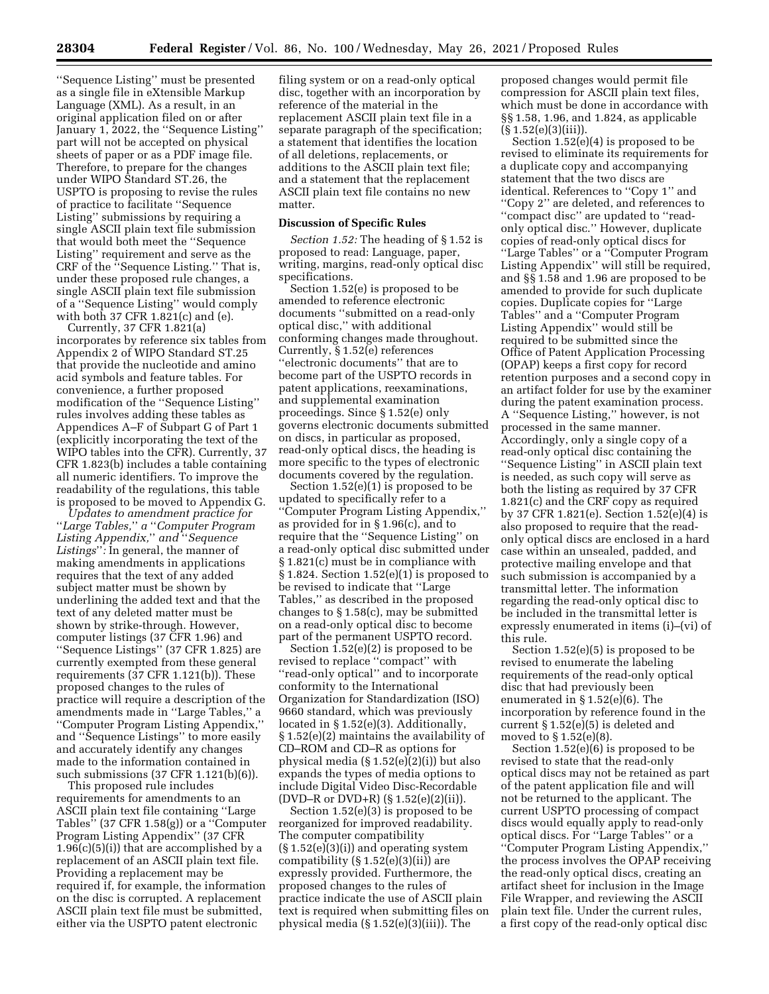''Sequence Listing'' must be presented as a single file in eXtensible Markup Language (XML). As a result, in an original application filed on or after January 1, 2022, the "Sequence Listing" part will not be accepted on physical sheets of paper or as a PDF image file. Therefore, to prepare for the changes under WIPO Standard ST.26, the USPTO is proposing to revise the rules of practice to facilitate ''Sequence Listing'' submissions by requiring a single ASCII plain text file submission that would both meet the ''Sequence Listing'' requirement and serve as the CRF of the ''Sequence Listing.'' That is, under these proposed rule changes, a single ASCII plain text file submission of a ''Sequence Listing'' would comply with both 37 CFR 1.821(c) and (e).

Currently, 37 CFR 1.821(a) incorporates by reference six tables from Appendix 2 of WIPO Standard ST.25 that provide the nucleotide and amino acid symbols and feature tables. For convenience, a further proposed modification of the ''Sequence Listing'' rules involves adding these tables as Appendices A–F of Subpart G of Part 1 (explicitly incorporating the text of the WIPO tables into the CFR). Currently, 37 CFR 1.823(b) includes a table containing all numeric identifiers. To improve the readability of the regulations, this table is proposed to be moved to Appendix G.

*Updates to amendment practice for*  ''*Large Tables,*'' *a* ''*Computer Program Listing Appendix,*'' *and* ''*Sequence Listings*''*:* In general, the manner of making amendments in applications requires that the text of any added subject matter must be shown by underlining the added text and that the text of any deleted matter must be shown by strike-through. However, computer listings (37 CFR 1.96) and ''Sequence Listings'' (37 CFR 1.825) are currently exempted from these general requirements (37 CFR 1.121(b)). These proposed changes to the rules of practice will require a description of the amendments made in ''Large Tables,'' a ''Computer Program Listing Appendix,'' and ''Sequence Listings'' to more easily and accurately identify any changes made to the information contained in such submissions (37 CFR 1.121(b)(6)).

This proposed rule includes requirements for amendments to an ASCII plain text file containing ''Large Tables'' (37 CFR 1.58(g)) or a ''Computer Program Listing Appendix'' (37 CFR  $1.96(c)(5)(i)$  that are accomplished by a replacement of an ASCII plain text file. Providing a replacement may be required if, for example, the information on the disc is corrupted. A replacement ASCII plain text file must be submitted, either via the USPTO patent electronic

filing system or on a read-only optical disc, together with an incorporation by reference of the material in the replacement ASCII plain text file in a separate paragraph of the specification; a statement that identifies the location of all deletions, replacements, or additions to the ASCII plain text file; and a statement that the replacement ASCII plain text file contains no new matter.

#### **Discussion of Specific Rules**

*Section 1.52:* The heading of § 1.52 is proposed to read: Language, paper, writing, margins, read-only optical disc specifications.

Section 1.52(e) is proposed to be amended to reference electronic documents ''submitted on a read-only optical disc,'' with additional conforming changes made throughout. Currently, § 1.52(e) references ''electronic documents'' that are to become part of the USPTO records in patent applications, reexaminations, and supplemental examination proceedings. Since § 1.52(e) only governs electronic documents submitted on discs, in particular as proposed, read-only optical discs, the heading is more specific to the types of electronic documents covered by the regulation.

Section 1.52(e)(1) is proposed to be updated to specifically refer to a ''Computer Program Listing Appendix,'' as provided for in § 1.96(c), and to require that the ''Sequence Listing'' on a read-only optical disc submitted under § 1.821(c) must be in compliance with § 1.824. Section 1.52(e)(1) is proposed to be revised to indicate that ''Large Tables,'' as described in the proposed changes to § 1.58(c), may be submitted on a read-only optical disc to become part of the permanent USPTO record.

Section  $1.52(e)(2)$  is proposed to be revised to replace ''compact'' with ''read-only optical'' and to incorporate conformity to the International Organization for Standardization (ISO) 9660 standard, which was previously located in § 1.52(e)(3). Additionally, § 1.52(e)(2) maintains the availability of CD–ROM and CD–R as options for physical media (§ 1.52(e)(2)(i)) but also expands the types of media options to include Digital Video Disc-Recordable (DVD–R or DVD+R)  $(S 1.52(e)(2)(ii))$ .

Section 1.52(e)(3) is proposed to be reorganized for improved readability. The computer compatibility (§ 1.52(e)(3)(i)) and operating system compatibility (§ 1.52(e)(3)(ii)) are expressly provided. Furthermore, the proposed changes to the rules of practice indicate the use of ASCII plain text is required when submitting files on physical media (§ 1.52(e)(3)(iii)). The

proposed changes would permit file compression for ASCII plain text files, which must be done in accordance with §§ 1.58, 1.96, and 1.824, as applicable (§ 1.52(e)(3)(iii)).

Section 1.52(e)(4) is proposed to be revised to eliminate its requirements for a duplicate copy and accompanying statement that the two discs are identical. References to ''Copy 1'' and ''Copy 2'' are deleted, and references to ''compact disc'' are updated to ''readonly optical disc.'' However, duplicate copies of read-only optical discs for ''Large Tables'' or a ''Computer Program Listing Appendix'' will still be required, and §§ 1.58 and 1.96 are proposed to be amended to provide for such duplicate copies. Duplicate copies for ''Large Tables'' and a ''Computer Program Listing Appendix'' would still be required to be submitted since the Office of Patent Application Processing (OPAP) keeps a first copy for record retention purposes and a second copy in an artifact folder for use by the examiner during the patent examination process. A ''Sequence Listing,'' however, is not processed in the same manner. Accordingly, only a single copy of a read-only optical disc containing the ''Sequence Listing'' in ASCII plain text is needed, as such copy will serve as both the listing as required by 37 CFR 1.821(c) and the CRF copy as required by 37 CFR 1.821(e). Section 1.52(e)(4) is also proposed to require that the readonly optical discs are enclosed in a hard case within an unsealed, padded, and protective mailing envelope and that such submission is accompanied by a transmittal letter. The information regarding the read-only optical disc to be included in the transmittal letter is expressly enumerated in items (i)–(vi) of this rule.

Section 1.52(e)(5) is proposed to be revised to enumerate the labeling requirements of the read-only optical disc that had previously been enumerated in § 1.52(e)(6). The incorporation by reference found in the current § 1.52(e)(5) is deleted and moved to § 1.52(e)(8).

Section 1.52(e)(6) is proposed to be revised to state that the read-only optical discs may not be retained as part of the patent application file and will not be returned to the applicant. The current USPTO processing of compact discs would equally apply to read-only optical discs. For ''Large Tables'' or a ''Computer Program Listing Appendix,'' the process involves the OPAP receiving the read-only optical discs, creating an artifact sheet for inclusion in the Image File Wrapper, and reviewing the ASCII plain text file. Under the current rules, a first copy of the read-only optical disc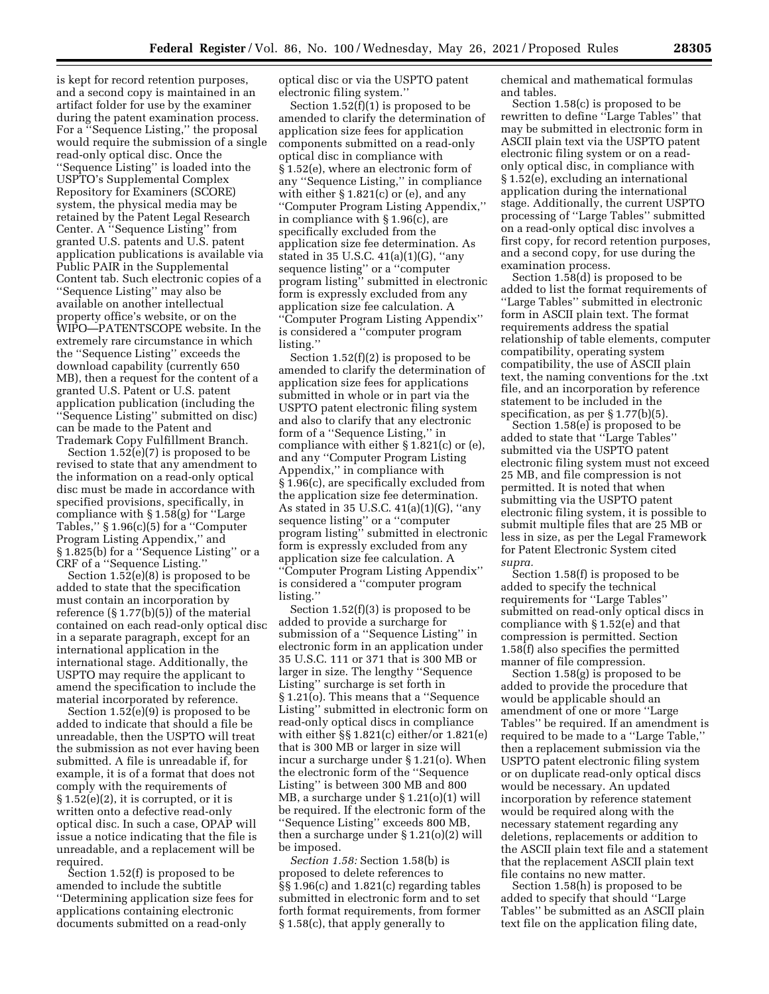is kept for record retention purposes, and a second copy is maintained in an artifact folder for use by the examiner during the patent examination process. For a ''Sequence Listing,'' the proposal would require the submission of a single read-only optical disc. Once the ''Sequence Listing'' is loaded into the USPTO's Supplemental Complex Repository for Examiners (SCORE) system, the physical media may be retained by the Patent Legal Research Center. A ''Sequence Listing'' from granted U.S. patents and U.S. patent application publications is available via Public PAIR in the Supplemental Content tab. Such electronic copies of a ''Sequence Listing'' may also be available on another intellectual property office's website, or on the WIPO—PATENTSCOPE website. In the extremely rare circumstance in which the ''Sequence Listing'' exceeds the download capability (currently 650 MB), then a request for the content of a granted U.S. Patent or U.S. patent application publication (including the ''Sequence Listing'' submitted on disc) can be made to the Patent and Trademark Copy Fulfillment Branch.

Section 1.52(e)(7) is proposed to be revised to state that any amendment to the information on a read-only optical disc must be made in accordance with specified provisions, specifically, in compliance with § 1.58(g) for ''Large Tables,'' § 1.96(c)(5) for a ''Computer Program Listing Appendix,'' and § 1.825(b) for a ''Sequence Listing'' or a CRF of a ''Sequence Listing.''

Section 1.52(e)(8) is proposed to be added to state that the specification must contain an incorporation by reference (§ 1.77(b)(5)) of the material contained on each read-only optical disc in a separate paragraph, except for an international application in the international stage. Additionally, the USPTO may require the applicant to amend the specification to include the material incorporated by reference.

Section 1.52(e)(9) is proposed to be added to indicate that should a file be unreadable, then the USPTO will treat the submission as not ever having been submitted. A file is unreadable if, for example, it is of a format that does not comply with the requirements of  $\S 1.52(e)(2)$ , it is corrupted, or it is written onto a defective read-only optical disc. In such a case, OPAP will issue a notice indicating that the file is unreadable, and a replacement will be required.

Section 1.52(f) is proposed to be amended to include the subtitle ''Determining application size fees for applications containing electronic documents submitted on a read-only

optical disc or via the USPTO patent electronic filing system.''

Section 1.52(f)(1) is proposed to be amended to clarify the determination of application size fees for application components submitted on a read-only optical disc in compliance with § 1.52(e), where an electronic form of any ''Sequence Listing,'' in compliance with either § 1.821(c) or (e), and any ''Computer Program Listing Appendix,'' in compliance with § 1.96(c), are specifically excluded from the application size fee determination. As stated in 35 U.S.C. 41(a)(1)(G), ''any sequence listing'' or a ''computer program listing'' submitted in electronic form is expressly excluded from any application size fee calculation. A ''Computer Program Listing Appendix'' is considered a ''computer program listing.''

Section 1.52(f)(2) is proposed to be amended to clarify the determination of application size fees for applications submitted in whole or in part via the USPTO patent electronic filing system and also to clarify that any electronic form of a ''Sequence Listing,'' in compliance with either § 1.821(c) or (e), and any ''Computer Program Listing Appendix,'' in compliance with § 1.96(c), are specifically excluded from the application size fee determination. As stated in 35 U.S.C. 41(a)(1)(G), ''any sequence listing'' or a ''computer program listing'' submitted in electronic form is expressly excluded from any application size fee calculation. A ''Computer Program Listing Appendix'' is considered a ''computer program listing.''

Section 1.52(f)(3) is proposed to be added to provide a surcharge for submission of a ''Sequence Listing'' in electronic form in an application under 35 U.S.C. 111 or 371 that is 300 MB or larger in size. The lengthy ''Sequence Listing'' surcharge is set forth in § 1.21(o). This means that a ''Sequence Listing'' submitted in electronic form on read-only optical discs in compliance with either §§ 1.821(c) either/or 1.821(e) that is 300 MB or larger in size will incur a surcharge under § 1.21(o). When the electronic form of the ''Sequence Listing'' is between 300 MB and 800 MB, a surcharge under § 1.21(o)(1) will be required. If the electronic form of the ''Sequence Listing'' exceeds 800 MB, then a surcharge under  $\S 1.21(0)(2)$  will be imposed.

*Section 1.58:* Section 1.58(b) is proposed to delete references to §§ 1.96(c) and 1.821(c) regarding tables submitted in electronic form and to set forth format requirements, from former § 1.58(c), that apply generally to

chemical and mathematical formulas and tables.

Section 1.58(c) is proposed to be rewritten to define ''Large Tables'' that may be submitted in electronic form in ASCII plain text via the USPTO patent electronic filing system or on a readonly optical disc, in compliance with § 1.52(e), excluding an international application during the international stage. Additionally, the current USPTO processing of ''Large Tables'' submitted on a read-only optical disc involves a first copy, for record retention purposes, and a second copy, for use during the examination process.

Section 1.58(d) is proposed to be added to list the format requirements of ''Large Tables'' submitted in electronic form in ASCII plain text. The format requirements address the spatial relationship of table elements, computer compatibility, operating system compatibility, the use of ASCII plain text, the naming conventions for the .txt file, and an incorporation by reference statement to be included in the specification, as per § 1.77(b)(5).

Section 1.58(e) is proposed to be added to state that ''Large Tables'' submitted via the USPTO patent electronic filing system must not exceed 25 MB, and file compression is not permitted. It is noted that when submitting via the USPTO patent electronic filing system, it is possible to submit multiple files that are 25 MB or less in size, as per the Legal Framework for Patent Electronic System cited *supra.* 

Section 1.58(f) is proposed to be added to specify the technical requirements for ''Large Tables'' submitted on read-only optical discs in compliance with § 1.52(e) and that compression is permitted. Section 1.58(f) also specifies the permitted manner of file compression.

Section 1.58(g) is proposed to be added to provide the procedure that would be applicable should an amendment of one or more ''Large Tables'' be required. If an amendment is required to be made to a ''Large Table,'' then a replacement submission via the USPTO patent electronic filing system or on duplicate read-only optical discs would be necessary. An updated incorporation by reference statement would be required along with the necessary statement regarding any deletions, replacements or addition to the ASCII plain text file and a statement that the replacement ASCII plain text file contains no new matter.

Section 1.58(h) is proposed to be added to specify that should ''Large Tables'' be submitted as an ASCII plain text file on the application filing date,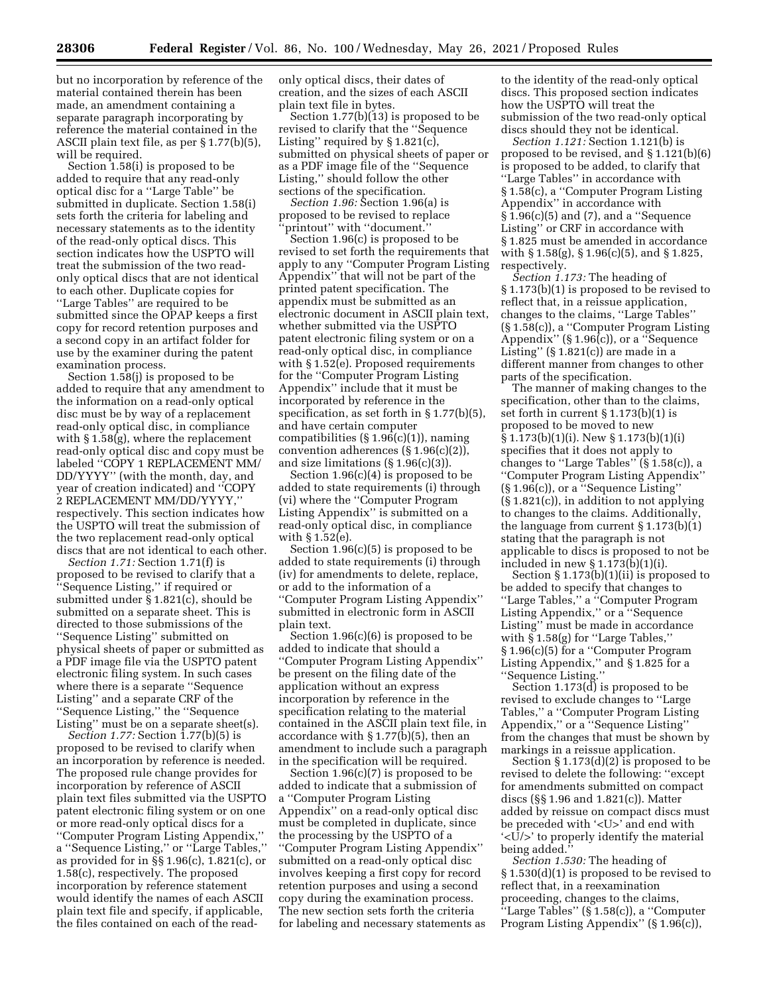but no incorporation by reference of the material contained therein has been made, an amendment containing a separate paragraph incorporating by reference the material contained in the ASCII plain text file, as per § 1.77(b)(5), will be required.

Section 1.58(i) is proposed to be added to require that any read-only optical disc for a ''Large Table'' be submitted in duplicate. Section 1.58(i) sets forth the criteria for labeling and necessary statements as to the identity of the read-only optical discs. This section indicates how the USPTO will treat the submission of the two readonly optical discs that are not identical to each other. Duplicate copies for ''Large Tables'' are required to be submitted since the OPAP keeps a first copy for record retention purposes and a second copy in an artifact folder for use by the examiner during the patent examination process.

Section 1.58(j) is proposed to be added to require that any amendment to the information on a read-only optical disc must be by way of a replacement read-only optical disc, in compliance with § 1.58(g), where the replacement read-only optical disc and copy must be labeled ''COPY 1 REPLACEMENT MM/ DD/YYYY'' (with the month, day, and year of creation indicated) and ''COPY 2 REPLACEMENT MM/DD/YYYY,'' respectively. This section indicates how the USPTO will treat the submission of the two replacement read-only optical discs that are not identical to each other.

*Section 1.71:* Section 1.71(f) is proposed to be revised to clarify that a ''Sequence Listing,'' if required or submitted under  $\S 1.821(c)$ , should be submitted on a separate sheet. This is directed to those submissions of the ''Sequence Listing'' submitted on physical sheets of paper or submitted as a PDF image file via the USPTO patent electronic filing system. In such cases where there is a separate ''Sequence Listing'' and a separate CRF of the ''Sequence Listing,'' the ''Sequence Listing'' must be on a separate sheet(s).

*Section 1.77:* Section 1.77(b)(5) is proposed to be revised to clarify when an incorporation by reference is needed. The proposed rule change provides for incorporation by reference of ASCII plain text files submitted via the USPTO patent electronic filing system or on one or more read-only optical discs for a ''Computer Program Listing Appendix,'' a ''Sequence Listing,'' or ''Large Tables,'' as provided for in  $\S$ § 1.96(c), 1.821(c), or 1.58(c), respectively. The proposed incorporation by reference statement would identify the names of each ASCII plain text file and specify, if applicable, the files contained on each of the readonly optical discs, their dates of creation, and the sizes of each ASCII plain text file in bytes.

Section 1.77(b)(13) is proposed to be revised to clarify that the ''Sequence Listing'' required by § 1.821(c), submitted on physical sheets of paper or as a PDF image file of the ''Sequence Listing,'' should follow the other sections of the specification.

*Section 1.96:* Section 1.96(a) is proposed to be revised to replace 'printout" with "document.'

Section 1.96(c) is proposed to be revised to set forth the requirements that apply to any ''Computer Program Listing Appendix'' that will not be part of the printed patent specification. The appendix must be submitted as an electronic document in ASCII plain text, whether submitted via the USPTO patent electronic filing system or on a read-only optical disc, in compliance with § 1.52(e). Proposed requirements for the ''Computer Program Listing Appendix'' include that it must be incorporated by reference in the specification, as set forth in § 1.77(b)(5), and have certain computer compatibilities  $(\S 1.96(c)(1))$ , naming convention adherences (§ 1.96(c)(2)), and size limitations (§ 1.96(c)(3)).

Section 1.96(c)(4) is proposed to be added to state requirements (i) through (vi) where the ''Computer Program Listing Appendix'' is submitted on a read-only optical disc, in compliance with § 1.52(e).

Section 1.96(c)(5) is proposed to be added to state requirements (i) through (iv) for amendments to delete, replace, or add to the information of a ''Computer Program Listing Appendix'' submitted in electronic form in ASCII plain text.

Section 1.96(c)(6) is proposed to be added to indicate that should a ''Computer Program Listing Appendix'' be present on the filing date of the application without an express incorporation by reference in the specification relating to the material contained in the ASCII plain text file, in accordance with § 1.77(b)(5), then an amendment to include such a paragraph in the specification will be required.

Section 1.96(c)(7) is proposed to be added to indicate that a submission of a ''Computer Program Listing Appendix'' on a read-only optical disc must be completed in duplicate, since the processing by the USPTO of a ''Computer Program Listing Appendix'' submitted on a read-only optical disc involves keeping a first copy for record retention purposes and using a second copy during the examination process. The new section sets forth the criteria for labeling and necessary statements as

to the identity of the read-only optical discs. This proposed section indicates how the USPTO will treat the submission of the two read-only optical discs should they not be identical.

*Section 1.121:* Section 1.121(b) is proposed to be revised, and § 1.121(b)(6) is proposed to be added, to clarify that ''Large Tables'' in accordance with § 1.58(c), a ''Computer Program Listing Appendix'' in accordance with  $\frac{1.96(c)}{5}$  and (7), and a "Sequence Listing'' or CRF in accordance with § 1.825 must be amended in accordance with § 1.58(g), § 1.96(c)(5), and § 1.825, respectively.

*Section 1.173:* The heading of § 1.173(b)(1) is proposed to be revised to reflect that, in a reissue application, changes to the claims, ''Large Tables'' (§ 1.58(c)), a ''Computer Program Listing Appendix'' (§ 1.96(c)), or a ''Sequence Listing'' (§ 1.821(c)) are made in a different manner from changes to other parts of the specification.

The manner of making changes to the specification, other than to the claims, set forth in current § 1.173(b)(1) is proposed to be moved to new § 1.173(b)(1)(i). New § 1.173(b)(1)(i) specifies that it does not apply to changes to ''Large Tables'' (§ 1.58(c)), a ''Computer Program Listing Appendix'' (§ 1.96(c)), or a ''Sequence Listing'' (§ 1.821(c)), in addition to not applying to changes to the claims. Additionally, the language from current § 1.173(b)(1) stating that the paragraph is not applicable to discs is proposed to not be included in new § 1.173(b)(1)(i).

Section § 1.173(b)(1)(ii) is proposed to be added to specify that changes to ''Large Tables,'' a ''Computer Program Listing Appendix,'' or a ''Sequence Listing'' must be made in accordance with § 1.58(g) for ''Large Tables,'' § 1.96(c)(5) for a ''Computer Program Listing Appendix,'' and § 1.825 for a ''Sequence Listing.''

Section 1.173(d) is proposed to be revised to exclude changes to ''Large Tables,'' a ''Computer Program Listing Appendix,'' or a ''Sequence Listing'' from the changes that must be shown by markings in a reissue application.

Section § 1.173(d)(2) is proposed to be revised to delete the following: ''except for amendments submitted on compact discs (§§ 1.96 and 1.821(c)). Matter added by reissue on compact discs must be preceded with '<U>' and end with '<U/>' to properly identify the material being added.''

*Section 1.530:* The heading of § 1.530(d)(1) is proposed to be revised to reflect that, in a reexamination proceeding, changes to the claims,  $\cdot$ 'Large Tables'' (§ 1.58(c)), a "Computer Program Listing Appendix'' (§ 1.96(c)),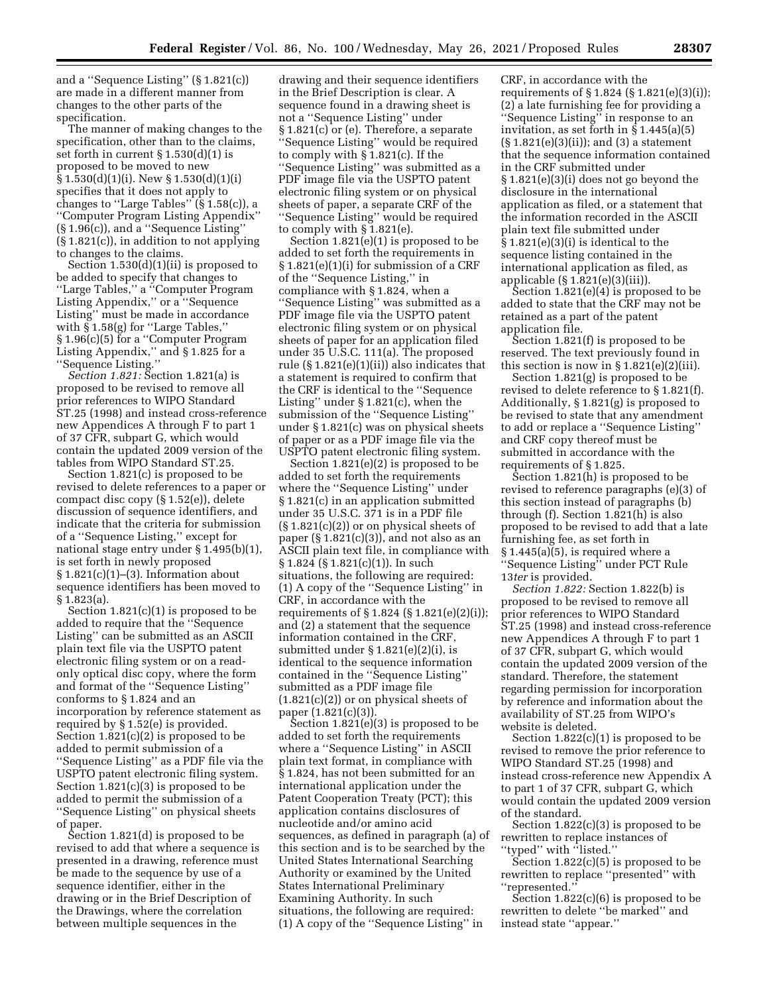and a ''Sequence Listing'' (§ 1.821(c)) are made in a different manner from changes to the other parts of the specification.

The manner of making changes to the specification, other than to the claims, set forth in current § 1.530(d)(1) is proposed to be moved to new  $§ 1.530(d)(1)(i)$ . New  $§ 1.530(d)(1)(i)$ specifies that it does not apply to changes to "Large Tables"  $(\S 1.58(c))$ , a ''Computer Program Listing Appendix'' (§ 1.96(c)), and a ''Sequence Listing'' (§ 1.821(c)), in addition to not applying to changes to the claims.

Section 1.530(d)(1)(ii) is proposed to be added to specify that changes to ''Large Tables,'' a ''Computer Program Listing Appendix," or a "Sequence Listing'' must be made in accordance with  $\S 1.58(g)$  for "Large Tables," § 1.96(c)(5) for a ''Computer Program Listing Appendix,'' and § 1.825 for a ''Sequence Listing.''

*Section 1.821:* Section 1.821(a) is proposed to be revised to remove all prior references to WIPO Standard ST.25 (1998) and instead cross-reference new Appendices A through F to part 1 of 37 CFR, subpart G, which would contain the updated 2009 version of the tables from WIPO Standard ST.25.

Section 1.821(c) is proposed to be revised to delete references to a paper or compact disc copy (§ 1.52(e)), delete discussion of sequence identifiers, and indicate that the criteria for submission of a ''Sequence Listing,'' except for national stage entry under § 1.495(b)(1), is set forth in newly proposed  $§ 1.821(c)(1)–(3)$ . Information about sequence identifiers has been moved to § 1.823(a).

Section 1.821(c)(1) is proposed to be added to require that the ''Sequence Listing'' can be submitted as an ASCII plain text file via the USPTO patent electronic filing system or on a readonly optical disc copy, where the form and format of the ''Sequence Listing'' conforms to § 1.824 and an incorporation by reference statement as required by § 1.52(e) is provided. Section 1.821(c)(2) is proposed to be added to permit submission of a ''Sequence Listing'' as a PDF file via the USPTO patent electronic filing system. Section 1.821(c)(3) is proposed to be added to permit the submission of a ''Sequence Listing'' on physical sheets of paper.

Section 1.821(d) is proposed to be revised to add that where a sequence is presented in a drawing, reference must be made to the sequence by use of a sequence identifier, either in the drawing or in the Brief Description of the Drawings, where the correlation between multiple sequences in the

drawing and their sequence identifiers in the Brief Description is clear. A sequence found in a drawing sheet is not a ''Sequence Listing'' under § 1.821(c) or (e). Therefore, a separate ''Sequence Listing'' would be required to comply with § 1.821(c). If the ''Sequence Listing'' was submitted as a PDF image file via the USPTO patent electronic filing system or on physical sheets of paper, a separate CRF of the ''Sequence Listing'' would be required to comply with § 1.821(e).

Section 1.821(e)(1) is proposed to be added to set forth the requirements in § 1.821(e)(1)(i) for submission of a CRF of the ''Sequence Listing,'' in compliance with § 1.824, when a ''Sequence Listing'' was submitted as a PDF image file via the USPTO patent electronic filing system or on physical sheets of paper for an application filed under 35 U.S.C. 111(a). The proposed rule (§ 1.821(e)(1)(ii)) also indicates that a statement is required to confirm that the CRF is identical to the ''Sequence Listing'' under § 1.821(c), when the submission of the ''Sequence Listing'' under § 1.821(c) was on physical sheets of paper or as a PDF image file via the USPTO patent electronic filing system.

Section 1.821(e)(2) is proposed to be added to set forth the requirements where the ''Sequence Listing'' under § 1.821(c) in an application submitted under 35 U.S.C. 371 is in a PDF file (§ 1.821(c)(2)) or on physical sheets of paper (§ 1.821(c)(3)), and not also as an ASCII plain text file, in compliance with § 1.824 (§ 1.821(c)(1)). In such situations, the following are required: (1) A copy of the ''Sequence Listing'' in CRF, in accordance with the requirements of § 1.824 (§ 1.821(e)(2)(i)); and (2) a statement that the sequence information contained in the CRF, submitted under  $\S 1.821(e)(2)(i)$ , is identical to the sequence information contained in the ''Sequence Listing'' submitted as a PDF image file  $(1.821(c)(2))$  or on physical sheets of paper (1.821(c)(3)).

Section 1.821(e)(3) is proposed to be added to set forth the requirements where a ''Sequence Listing'' in ASCII plain text format, in compliance with § 1.824, has not been submitted for an international application under the Patent Cooperation Treaty (PCT); this application contains disclosures of nucleotide and/or amino acid sequences, as defined in paragraph (a) of this section and is to be searched by the United States International Searching Authority or examined by the United States International Preliminary Examining Authority. In such situations, the following are required: (1) A copy of the ''Sequence Listing'' in

CRF, in accordance with the requirements of § 1.824 (§ 1.821(e)(3)(i)); (2) a late furnishing fee for providing a ''Sequence Listing'' in response to an invitation, as set forth in  $\hat{S}$  1.445(a)(5)  $(\S 1.821(e)(3)(ii))$ ; and  $(3)$  a statement that the sequence information contained in the CRF submitted under § 1.821(e)(3)(i) does not go beyond the disclosure in the international application as filed, or a statement that the information recorded in the ASCII plain text file submitted under § 1.821(e)(3)(i) is identical to the sequence listing contained in the international application as filed, as applicable (§ 1.821(e)(3)(iii)).

Section 1.821(e)(4) is proposed to be added to state that the CRF may not be retained as a part of the patent application file.

Section 1.821(f) is proposed to be reserved. The text previously found in this section is now in  $\S 1.821(e)(2)(iii)$ .

Section 1.821(g) is proposed to be revised to delete reference to § 1.821(f). Additionally, § 1.821(g) is proposed to be revised to state that any amendment to add or replace a ''Sequence Listing'' and CRF copy thereof must be submitted in accordance with the requirements of § 1.825.

Section 1.821(h) is proposed to be revised to reference paragraphs (e)(3) of this section instead of paragraphs (b) through (f). Section 1.821(h) is also proposed to be revised to add that a late furnishing fee, as set forth in  $§ 1.445(a)(5)$ , is required where a ''Sequence Listing'' under PCT Rule 13*ter* is provided.

*Section 1.822:* Section 1.822(b) is proposed to be revised to remove all prior references to WIPO Standard ST.25 (1998) and instead cross-reference new Appendices A through F to part 1 of 37 CFR, subpart G, which would contain the updated 2009 version of the standard. Therefore, the statement regarding permission for incorporation by reference and information about the availability of ST.25 from WIPO's website is deleted.

Section  $1.822(c)(1)$  is proposed to be revised to remove the prior reference to WIPO Standard ST.25 (1998) and instead cross-reference new Appendix A to part 1 of 37 CFR, subpart G, which would contain the updated 2009 version of the standard.

Section 1.822(c)(3) is proposed to be rewritten to replace instances of ''typed'' with ''listed.''

Section 1.822(c)(5) is proposed to be rewritten to replace ''presented'' with ''represented.''

Section 1.822(c)(6) is proposed to be rewritten to delete ''be marked'' and instead state ''appear.''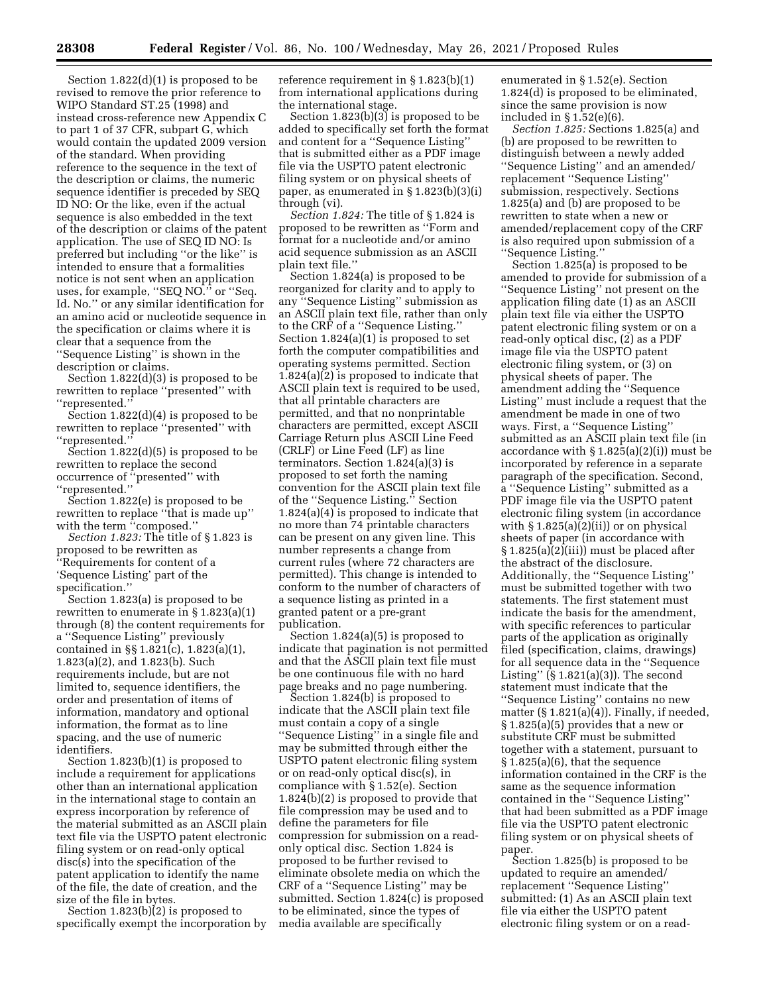Section 1.822(d)(1) is proposed to be revised to remove the prior reference to WIPO Standard ST.25 (1998) and instead cross-reference new Appendix C to part 1 of 37 CFR, subpart G, which would contain the updated 2009 version of the standard. When providing reference to the sequence in the text of the description or claims, the numeric sequence identifier is preceded by SEQ ID NO: Or the like, even if the actual sequence is also embedded in the text of the description or claims of the patent application. The use of SEQ ID NO: Is preferred but including ''or the like'' is intended to ensure that a formalities notice is not sent when an application uses, for example, "SEQ NO." or "Seq. Id. No.'' or any similar identification for an amino acid or nucleotide sequence in the specification or claims where it is clear that a sequence from the ''Sequence Listing'' is shown in the description or claims.

Section 1.822(d)(3) is proposed to be rewritten to replace ''presented'' with ''represented.''

Section 1.822(d)(4) is proposed to be rewritten to replace ''presented'' with ''represented.''

Section 1.822(d)(5) is proposed to be rewritten to replace the second occurrence of ''presented'' with ''represented.''

Section 1.822(e) is proposed to be rewritten to replace ''that is made up'' with the term "composed."

*Section 1.823:* The title of § 1.823 is proposed to be rewritten as ''Requirements for content of a 'Sequence Listing' part of the specification.''

Section 1.823(a) is proposed to be rewritten to enumerate in  $\S 1.823(a)(1)$ through (8) the content requirements for a ''Sequence Listing'' previously contained in §§ 1.821(c), 1.823(a)(1), 1.823(a)(2), and 1.823(b). Such requirements include, but are not limited to, sequence identifiers, the order and presentation of items of information, mandatory and optional information, the format as to line spacing, and the use of numeric identifiers.

Section 1.823(b)(1) is proposed to include a requirement for applications other than an international application in the international stage to contain an express incorporation by reference of the material submitted as an ASCII plain text file via the USPTO patent electronic filing system or on read-only optical disc(s) into the specification of the patent application to identify the name of the file, the date of creation, and the size of the file in bytes.

Section 1.823(b)(2) is proposed to specifically exempt the incorporation by reference requirement in § 1.823(b)(1) from international applications during the international stage.

Section 1.823(b)(3) is proposed to be added to specifically set forth the format and content for a ''Sequence Listing'' that is submitted either as a PDF image file via the USPTO patent electronic filing system or on physical sheets of paper, as enumerated in § 1.823(b)(3)(i) through (vi).

*Section 1.824:* The title of § 1.824 is proposed to be rewritten as ''Form and format for a nucleotide and/or amino acid sequence submission as an ASCII plain text file.''

Section 1.824(a) is proposed to be reorganized for clarity and to apply to any ''Sequence Listing'' submission as an ASCII plain text file, rather than only to the CRF of a ''Sequence Listing.'' Section 1.824(a)(1) is proposed to set forth the computer compatibilities and operating systems permitted. Section 1.824(a)(2) is proposed to indicate that ASCII plain text is required to be used, that all printable characters are permitted, and that no nonprintable characters are permitted, except ASCII Carriage Return plus ASCII Line Feed (CRLF) or Line Feed (LF) as line terminators. Section 1.824(a)(3) is proposed to set forth the naming convention for the ASCII plain text file of the ''Sequence Listing.'' Section 1.824(a)(4) is proposed to indicate that no more than 74 printable characters can be present on any given line. This number represents a change from current rules (where 72 characters are permitted). This change is intended to conform to the number of characters of a sequence listing as printed in a granted patent or a pre-grant publication.

Section 1.824(a)(5) is proposed to indicate that pagination is not permitted and that the ASCII plain text file must be one continuous file with no hard page breaks and no page numbering.

Section 1.824(b) is proposed to indicate that the ASCII plain text file must contain a copy of a single ''Sequence Listing'' in a single file and may be submitted through either the USPTO patent electronic filing system or on read-only optical disc(s), in compliance with § 1.52(e). Section 1.824(b)(2) is proposed to provide that file compression may be used and to define the parameters for file compression for submission on a readonly optical disc. Section 1.824 is proposed to be further revised to eliminate obsolete media on which the CRF of a ''Sequence Listing'' may be submitted. Section 1.824(c) is proposed to be eliminated, since the types of media available are specifically

enumerated in § 1.52(e). Section 1.824(d) is proposed to be eliminated, since the same provision is now included in § 1.52(e)(6).

*Section 1.825:* Sections 1.825(a) and (b) are proposed to be rewritten to distinguish between a newly added ''Sequence Listing'' and an amended/ replacement ''Sequence Listing'' submission, respectively. Sections 1.825(a) and (b) are proposed to be rewritten to state when a new or amended/replacement copy of the CRF is also required upon submission of a ''Sequence Listing.''

Section 1.825(a) is proposed to be amended to provide for submission of a ''Sequence Listing'' not present on the application filing date  $(1)$  as an ASCII plain text file via either the USPTO patent electronic filing system or on a read-only optical disc, (2) as a PDF image file via the USPTO patent electronic filing system, or (3) on physical sheets of paper. The amendment adding the ''Sequence Listing'' must include a request that the amendment be made in one of two ways. First, a ''Sequence Listing'' submitted as an ASCII plain text file (in accordance with § 1.825(a)(2)(i)) must be incorporated by reference in a separate paragraph of the specification. Second, a ''Sequence Listing'' submitted as a PDF image file via the USPTO patent electronic filing system (in accordance with  $\S 1.825(a)(2)(ii)$  or on physical sheets of paper (in accordance with § 1.825(a)(2)(iii)) must be placed after the abstract of the disclosure. Additionally, the ''Sequence Listing'' must be submitted together with two statements. The first statement must indicate the basis for the amendment, with specific references to particular parts of the application as originally filed (specification, claims, drawings) for all sequence data in the ''Sequence Listing'' (§ 1.821(a)(3)). The second statement must indicate that the ''Sequence Listing'' contains no new matter  $(\S 1.821(a)\overline{4})$ . Finally, if needed, § 1.825(a)(5) provides that a new or substitute CRF must be submitted together with a statement, pursuant to § 1.825(a)(6), that the sequence information contained in the CRF is the same as the sequence information contained in the ''Sequence Listing'' that had been submitted as a PDF image file via the USPTO patent electronic filing system or on physical sheets of paper.

Section 1.825(b) is proposed to be updated to require an amended/ replacement ''Sequence Listing'' submitted: (1) As an ASCII plain text file via either the USPTO patent electronic filing system or on a read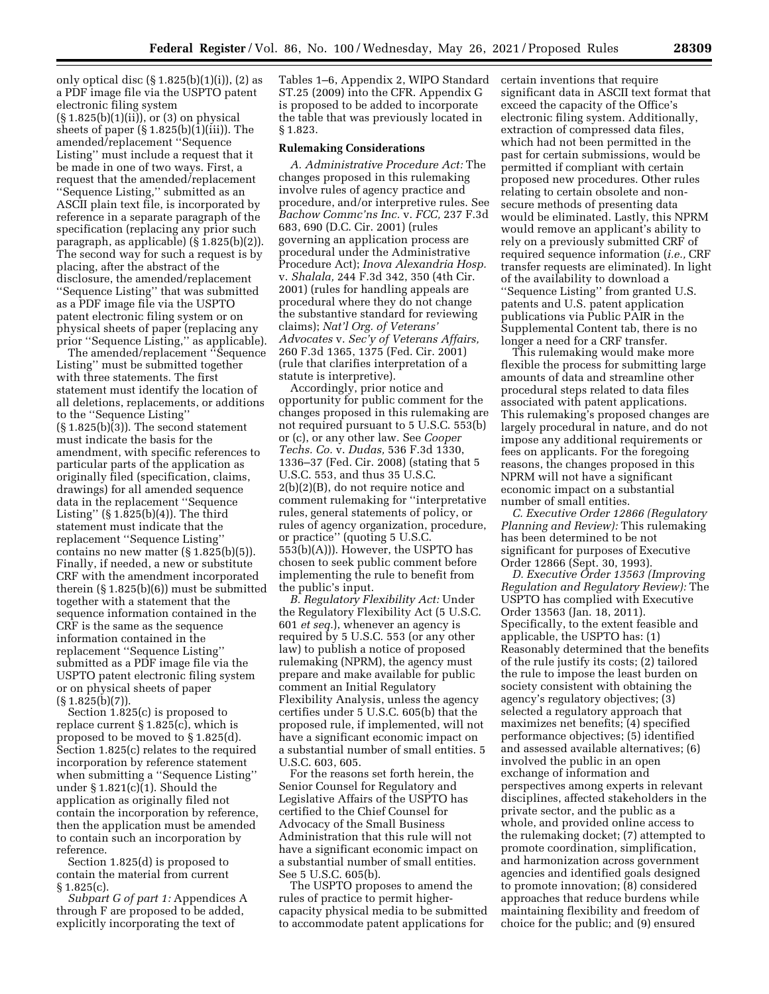only optical disc  $(\S 1.825(b)(1)(i))$ ,  $(2)$  as a PDF image file via the USPTO patent electronic filing system (§ 1.825(b)(1)(ii)), or (3) on physical sheets of paper (§ 1.825(b)(1)(iii)). The amended/replacement ''Sequence Listing'' must include a request that it be made in one of two ways. First, a request that the amended/replacement ''Sequence Listing,'' submitted as an ASCII plain text file, is incorporated by reference in a separate paragraph of the specification (replacing any prior such paragraph, as applicable) (§ 1.825(b)(2)). The second way for such a request is by placing, after the abstract of the disclosure, the amended/replacement ''Sequence Listing'' that was submitted as a PDF image file via the USPTO patent electronic filing system or on physical sheets of paper (replacing any prior ''Sequence Listing,'' as applicable).

The amended/replacement ''Sequence Listing'' must be submitted together with three statements. The first statement must identify the location of all deletions, replacements, or additions to the ''Sequence Listing''  $(\S 1.825(b)\overline{3})$ . The second statement must indicate the basis for the amendment, with specific references to particular parts of the application as originally filed (specification, claims, drawings) for all amended sequence data in the replacement ''Sequence Listing'' (§ 1.825(b)(4)). The third statement must indicate that the replacement ''Sequence Listing'' contains no new matter  $(\S 1.825(b)(5))$ . Finally, if needed, a new or substitute CRF with the amendment incorporated therein (§ 1.825(b)(6)) must be submitted together with a statement that the sequence information contained in the CRF is the same as the sequence information contained in the replacement ''Sequence Listing'' submitted as a PDF image file via the USPTO patent electronic filing system or on physical sheets of paper  $(S 1.825(b)(7))$ .

Section 1.825(c) is proposed to replace current § 1.825(c), which is proposed to be moved to § 1.825(d). Section 1.825(c) relates to the required incorporation by reference statement when submitting a ''Sequence Listing'' under  $\S 1.821(c)(1)$ . Should the application as originally filed not contain the incorporation by reference, then the application must be amended to contain such an incorporation by reference.

Section 1.825(d) is proposed to contain the material from current  $§ 1.825(c).$ 

*Subpart G of part 1:* Appendices A through F are proposed to be added, explicitly incorporating the text of

Tables 1–6, Appendix 2, WIPO Standard ST.25 (2009) into the CFR. Appendix G is proposed to be added to incorporate the table that was previously located in § 1.823.

#### **Rulemaking Considerations**

*A. Administrative Procedure Act:* The changes proposed in this rulemaking involve rules of agency practice and procedure, and/or interpretive rules. See *Bachow Commc'ns Inc.* v. *FCC,* 237 F.3d 683, 690 (D.C. Cir. 2001) (rules governing an application process are procedural under the Administrative Procedure Act); *Inova Alexandria Hosp.*  v. *Shalala,* 244 F.3d 342, 350 (4th Cir. 2001) (rules for handling appeals are procedural where they do not change the substantive standard for reviewing claims); *Nat'l Org. of Veterans' Advocates* v. *Sec'y of Veterans Affairs,*  260 F.3d 1365, 1375 (Fed. Cir. 2001) (rule that clarifies interpretation of a statute is interpretive).

Accordingly, prior notice and opportunity for public comment for the changes proposed in this rulemaking are not required pursuant to 5 U.S.C. 553(b) or (c), or any other law. See *Cooper Techs. Co.* v. *Dudas,* 536 F.3d 1330, 1336–37 (Fed. Cir. 2008) (stating that 5 U.S.C. 553, and thus 35 U.S.C. 2(b)(2)(B), do not require notice and comment rulemaking for ''interpretative rules, general statements of policy, or rules of agency organization, procedure, or practice'' (quoting 5 U.S.C. 553(b)(A))). However, the USPTO has chosen to seek public comment before implementing the rule to benefit from the public's input.

*B. Regulatory Flexibility Act:* Under the Regulatory Flexibility Act (5 U.S.C. 601 *et seq.*), whenever an agency is required by 5 U.S.C. 553 (or any other law) to publish a notice of proposed rulemaking (NPRM), the agency must prepare and make available for public comment an Initial Regulatory Flexibility Analysis, unless the agency certifies under 5 U.S.C. 605(b) that the proposed rule, if implemented, will not have a significant economic impact on a substantial number of small entities. 5 U.S.C. 603, 605.

For the reasons set forth herein, the Senior Counsel for Regulatory and Legislative Affairs of the USPTO has certified to the Chief Counsel for Advocacy of the Small Business Administration that this rule will not have a significant economic impact on a substantial number of small entities. See 5 U.S.C. 605(b).

The USPTO proposes to amend the rules of practice to permit highercapacity physical media to be submitted to accommodate patent applications for

certain inventions that require significant data in ASCII text format that exceed the capacity of the Office's electronic filing system. Additionally, extraction of compressed data files, which had not been permitted in the past for certain submissions, would be permitted if compliant with certain proposed new procedures. Other rules relating to certain obsolete and nonsecure methods of presenting data would be eliminated. Lastly, this NPRM would remove an applicant's ability to rely on a previously submitted CRF of required sequence information (*i.e.,* CRF transfer requests are eliminated). In light of the availability to download a ''Sequence Listing'' from granted U.S. patents and U.S. patent application publications via Public PAIR in the Supplemental Content tab, there is no longer a need for a CRF transfer.

This rulemaking would make more flexible the process for submitting large amounts of data and streamline other procedural steps related to data files associated with patent applications. This rulemaking's proposed changes are largely procedural in nature, and do not impose any additional requirements or fees on applicants. For the foregoing reasons, the changes proposed in this NPRM will not have a significant economic impact on a substantial number of small entities.

*C. Executive Order 12866 (Regulatory Planning and Review):* This rulemaking has been determined to be not significant for purposes of Executive Order 12866 (Sept. 30, 1993).

*D. Executive Order 13563 (Improving Regulation and Regulatory Review):* The USPTO has complied with Executive Order 13563 (Jan. 18, 2011). Specifically, to the extent feasible and applicable, the USPTO has: (1) Reasonably determined that the benefits of the rule justify its costs; (2) tailored the rule to impose the least burden on society consistent with obtaining the agency's regulatory objectives; (3) selected a regulatory approach that maximizes net benefits; (4) specified performance objectives; (5) identified and assessed available alternatives; (6) involved the public in an open exchange of information and perspectives among experts in relevant disciplines, affected stakeholders in the private sector, and the public as a whole, and provided online access to the rulemaking docket; (7) attempted to promote coordination, simplification, and harmonization across government agencies and identified goals designed to promote innovation; (8) considered approaches that reduce burdens while maintaining flexibility and freedom of choice for the public; and (9) ensured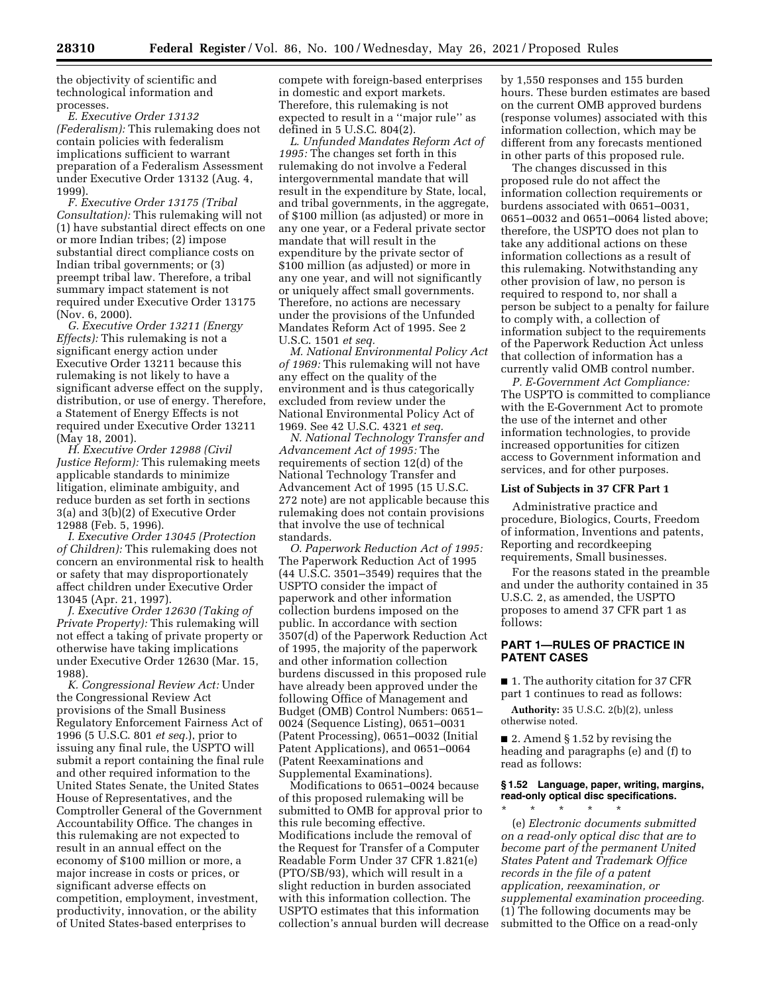the objectivity of scientific and technological information and processes.

*E. Executive Order 13132 (Federalism):* This rulemaking does not contain policies with federalism implications sufficient to warrant preparation of a Federalism Assessment under Executive Order 13132 (Aug. 4, 1999).

*F. Executive Order 13175 (Tribal Consultation):* This rulemaking will not (1) have substantial direct effects on one or more Indian tribes; (2) impose substantial direct compliance costs on Indian tribal governments; or (3) preempt tribal law. Therefore, a tribal summary impact statement is not required under Executive Order 13175 (Nov. 6, 2000).

*G. Executive Order 13211 (Energy Effects):* This rulemaking is not a significant energy action under Executive Order 13211 because this rulemaking is not likely to have a significant adverse effect on the supply, distribution, or use of energy. Therefore, a Statement of Energy Effects is not required under Executive Order 13211 (May 18, 2001).

*H. Executive Order 12988 (Civil Justice Reform):* This rulemaking meets applicable standards to minimize litigation, eliminate ambiguity, and reduce burden as set forth in sections 3(a) and 3(b)(2) of Executive Order 12988 (Feb. 5, 1996).

*I. Executive Order 13045 (Protection of Children):* This rulemaking does not concern an environmental risk to health or safety that may disproportionately affect children under Executive Order 13045 (Apr. 21, 1997).

*J. Executive Order 12630 (Taking of Private Property):* This rulemaking will not effect a taking of private property or otherwise have taking implications under Executive Order 12630 (Mar. 15, 1988).

*K. Congressional Review Act:* Under the Congressional Review Act provisions of the Small Business Regulatory Enforcement Fairness Act of 1996 (5 U.S.C. 801 *et seq.*), prior to issuing any final rule, the USPTO will submit a report containing the final rule and other required information to the United States Senate, the United States House of Representatives, and the Comptroller General of the Government Accountability Office. The changes in this rulemaking are not expected to result in an annual effect on the economy of \$100 million or more, a major increase in costs or prices, or significant adverse effects on competition, employment, investment, productivity, innovation, or the ability of United States-based enterprises to

compete with foreign-based enterprises in domestic and export markets. Therefore, this rulemaking is not expected to result in a ''major rule'' as defined in 5 U.S.C. 804(2).

*L. Unfunded Mandates Reform Act of 1995:* The changes set forth in this rulemaking do not involve a Federal intergovernmental mandate that will result in the expenditure by State, local, and tribal governments, in the aggregate, of \$100 million (as adjusted) or more in any one year, or a Federal private sector mandate that will result in the expenditure by the private sector of \$100 million (as adjusted) or more in any one year, and will not significantly or uniquely affect small governments. Therefore, no actions are necessary under the provisions of the Unfunded Mandates Reform Act of 1995. See 2 U.S.C. 1501 *et seq.* 

*M. National Environmental Policy Act of 1969:* This rulemaking will not have any effect on the quality of the environment and is thus categorically excluded from review under the National Environmental Policy Act of 1969. See 42 U.S.C. 4321 *et seq.* 

*N. National Technology Transfer and Advancement Act of 1995:* The requirements of section 12(d) of the National Technology Transfer and Advancement Act of 1995 (15 U.S.C. 272 note) are not applicable because this rulemaking does not contain provisions that involve the use of technical standards.

*O. Paperwork Reduction Act of 1995:*  The Paperwork Reduction Act of 1995 (44 U.S.C. 3501–3549) requires that the USPTO consider the impact of paperwork and other information collection burdens imposed on the public. In accordance with section 3507(d) of the Paperwork Reduction Act of 1995, the majority of the paperwork and other information collection burdens discussed in this proposed rule have already been approved under the following Office of Management and Budget (OMB) Control Numbers: 0651– 0024 (Sequence Listing), 0651–0031 (Patent Processing), 0651–0032 (Initial Patent Applications), and 0651–0064 (Patent Reexaminations and Supplemental Examinations).

Modifications to 0651–0024 because of this proposed rulemaking will be submitted to OMB for approval prior to this rule becoming effective. Modifications include the removal of the Request for Transfer of a Computer Readable Form Under 37 CFR 1.821(e) (PTO/SB/93), which will result in a slight reduction in burden associated with this information collection. The USPTO estimates that this information collection's annual burden will decrease by 1,550 responses and 155 burden hours. These burden estimates are based on the current OMB approved burdens (response volumes) associated with this information collection, which may be different from any forecasts mentioned in other parts of this proposed rule.

The changes discussed in this proposed rule do not affect the information collection requirements or burdens associated with 0651–0031, 0651–0032 and 0651–0064 listed above; therefore, the USPTO does not plan to take any additional actions on these information collections as a result of this rulemaking. Notwithstanding any other provision of law, no person is required to respond to, nor shall a person be subject to a penalty for failure to comply with, a collection of information subject to the requirements of the Paperwork Reduction Act unless that collection of information has a currently valid OMB control number.

*P. E-Government Act Compliance:*  The USPTO is committed to compliance with the E-Government Act to promote the use of the internet and other information technologies, to provide increased opportunities for citizen access to Government information and services, and for other purposes.

### **List of Subjects in 37 CFR Part 1**

Administrative practice and procedure, Biologics, Courts, Freedom of information, Inventions and patents, Reporting and recordkeeping requirements, Small businesses.

For the reasons stated in the preamble and under the authority contained in 35 U.S.C. 2, as amended, the USPTO proposes to amend 37 CFR part 1 as follows:

## **PART 1—RULES OF PRACTICE IN PATENT CASES**

■ 1. The authority citation for 37 CFR part 1 continues to read as follows:

**Authority:** 35 U.S.C. 2(b)(2), unless otherwise noted.

■ 2. Amend § 1.52 by revising the heading and paragraphs (e) and (f) to read as follows:

# **§ 1.52 Language, paper, writing, margins, read-only optical disc specifications.**

\* \* \* \* \* (e) *Electronic documents submitted on a read-only optical disc that are to become part of the permanent United States Patent and Trademark Office records in the file of a patent application, reexamination, or supplemental examination proceeding.*  (1) The following documents may be submitted to the Office on a read-only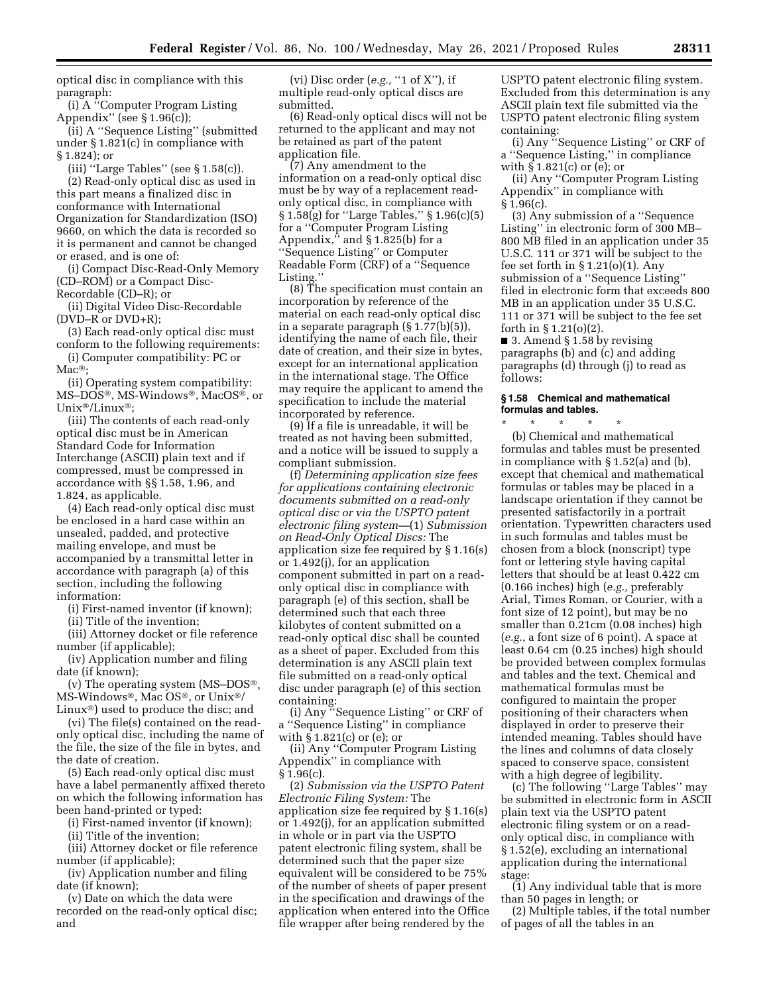optical disc in compliance with this paragraph:

(i) A ''Computer Program Listing Appendix'' (see § 1.96(c));

(ii) A ''Sequence Listing'' (submitted under § 1.821(c) in compliance with § 1.824); or

(iii) "Large Tables" (see  $\S 1.58(c)$ ).

(2) Read-only optical disc as used in this part means a finalized disc in conformance with International Organization for Standardization (ISO) 9660, on which the data is recorded so it is permanent and cannot be changed or erased, and is one of:

(i) Compact Disc-Read-Only Memory (CD–ROM) or a Compact Disc-Recordable (CD–R); or

(ii) Digital Video Disc-Recordable (DVD–R or DVD+R);

(3) Each read-only optical disc must conform to the following requirements:

(i) Computer compatibility: PC or Mac<sup>®</sup>;

(ii) Operating system compatibility: MS–DOS®, MS-Windows®, MacOS®, or Unix®/Linux®;

(iii) The contents of each read-only optical disc must be in American Standard Code for Information Interchange (ASCII) plain text and if compressed, must be compressed in accordance with §§ 1.58, 1.96, and 1.824, as applicable.

(4) Each read-only optical disc must be enclosed in a hard case within an unsealed, padded, and protective mailing envelope, and must be accompanied by a transmittal letter in accordance with paragraph (a) of this section, including the following information:

(i) First-named inventor (if known);

(ii) Title of the invention;

(iii) Attorney docket or file reference number (if applicable);

(iv) Application number and filing date (if known);

(v) The operating system (MS–DOS®, MS-Windows®, Mac OS®, or Unix®/ Linux®) used to produce the disc; and

(vi) The file(s) contained on the readonly optical disc, including the name of the file, the size of the file in bytes, and the date of creation.

(5) Each read-only optical disc must have a label permanently affixed thereto on which the following information has been hand-printed or typed:

(i) First-named inventor (if known);

(ii) Title of the invention;

(iii) Attorney docket or file reference number (if applicable);

(iv) Application number and filing date (if known);

(v) Date on which the data were recorded on the read-only optical disc; and

(vi) Disc order (*e.g.,* ''1 of X''), if multiple read-only optical discs are submitted.

(6) Read-only optical discs will not be returned to the applicant and may not be retained as part of the patent application file.

(7) Any amendment to the information on a read-only optical disc must be by way of a replacement readonly optical disc, in compliance with § 1.58(g) for ''Large Tables,'' § 1.96(c)(5) for a ''Computer Program Listing Appendix," and  $\S 1.825(b)$  for a ''Sequence Listing'' or Computer Readable Form (CRF) of a ''Sequence Listing.''

(8) The specification must contain an incorporation by reference of the material on each read-only optical disc in a separate paragraph (§ 1.77(b)(5)), identifying the name of each file, their date of creation, and their size in bytes, except for an international application in the international stage. The Office may require the applicant to amend the specification to include the material incorporated by reference.

(9) If a file is unreadable, it will be treated as not having been submitted, and a notice will be issued to supply a compliant submission.

(f) *Determining application size fees for applications containing electronic documents submitted on a read-only optical disc or via the USPTO patent electronic filing system—*(1) *Submission on Read-Only Optical Discs:* The application size fee required by § 1.16(s) or 1.492(j), for an application component submitted in part on a readonly optical disc in compliance with paragraph (e) of this section, shall be determined such that each three kilobytes of content submitted on a read-only optical disc shall be counted as a sheet of paper. Excluded from this determination is any ASCII plain text file submitted on a read-only optical disc under paragraph (e) of this section containing:

(i) Any ''Sequence Listing'' or CRF of a ''Sequence Listing'' in compliance with § 1.821(c) or (e); or

(ii) Any ''Computer Program Listing Appendix'' in compliance with  $§ 1.96(c).$ 

(2) *Submission via the USPTO Patent Electronic Filing System:* The application size fee required by § 1.16(s) or 1.492(j), for an application submitted in whole or in part via the USPTO patent electronic filing system, shall be determined such that the paper size equivalent will be considered to be 75% of the number of sheets of paper present in the specification and drawings of the application when entered into the Office file wrapper after being rendered by the

USPTO patent electronic filing system. Excluded from this determination is any ASCII plain text file submitted via the USPTO patent electronic filing system containing:

(i) Any ''Sequence Listing'' or CRF of a ''Sequence Listing,'' in compliance with § 1.821(c) or (e); or

(ii) Any ''Computer Program Listing Appendix'' in compliance with § 1.96(c).

(3) Any submission of a ''Sequence Listing'' in electronic form of 300 MB– 800 MB filed in an application under 35 U.S.C. 111 or 371 will be subject to the fee set forth in  $\S 1.21(0)(1)$ . Any submission of a ''Sequence Listing'' filed in electronic form that exceeds 800 MB in an application under 35 U.S.C. 111 or 371 will be subject to the fee set forth in § 1.21(o)(2).

■ 3. Amend § 1.58 by revising paragraphs (b) and (c) and adding paragraphs (d) through (j) to read as follows:

#### **§ 1.58 Chemical and mathematical formulas and tables.**

\* \* \* \* \* (b) Chemical and mathematical formulas and tables must be presented in compliance with § 1.52(a) and (b), except that chemical and mathematical formulas or tables may be placed in a landscape orientation if they cannot be presented satisfactorily in a portrait orientation. Typewritten characters used in such formulas and tables must be chosen from a block (nonscript) type font or lettering style having capital letters that should be at least 0.422 cm (0.166 inches) high (*e.g.,* preferably Arial, Times Roman, or Courier, with a font size of 12 point), but may be no smaller than 0.21cm (0.08 inches) high (*e.g.,* a font size of 6 point). A space at least 0.64 cm (0.25 inches) high should be provided between complex formulas and tables and the text. Chemical and mathematical formulas must be configured to maintain the proper positioning of their characters when displayed in order to preserve their intended meaning. Tables should have the lines and columns of data closely spaced to conserve space, consistent with a high degree of legibility.

(c) The following ''Large Tables'' may be submitted in electronic form in ASCII plain text via the USPTO patent electronic filing system or on a readonly optical disc, in compliance with § 1.52(e), excluding an international application during the international stage:

(1) Any individual table that is more than 50 pages in length; or

(2) Multiple tables, if the total number of pages of all the tables in an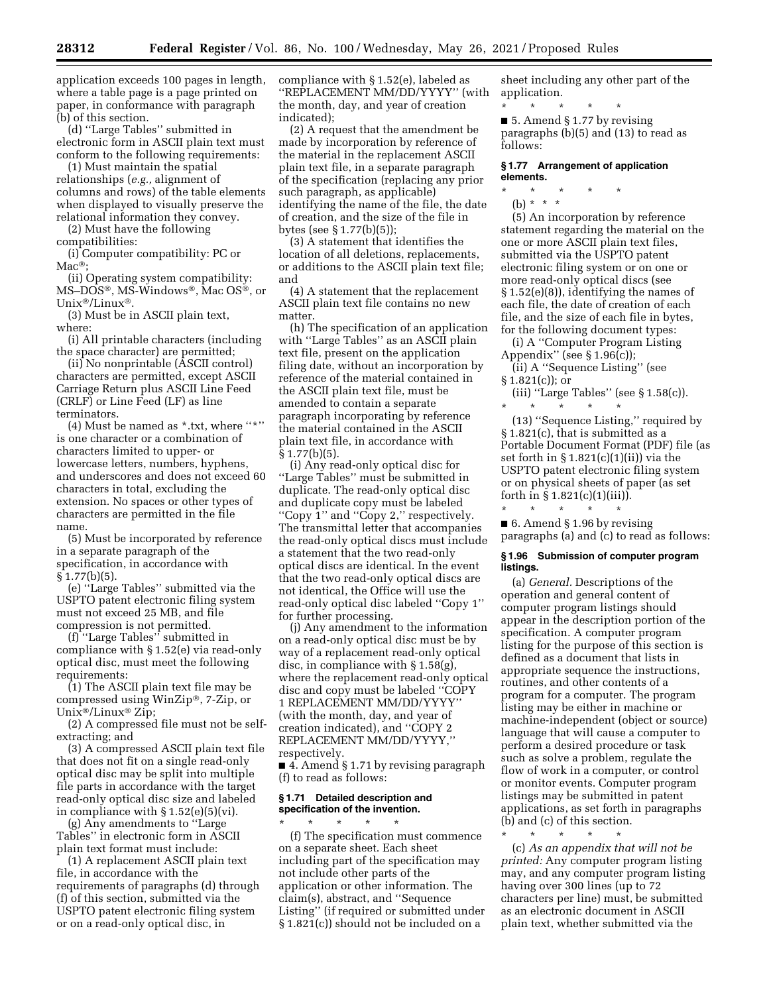application exceeds 100 pages in length, where a table page is a page printed on paper, in conformance with paragraph (b) of this section.

(d) ''Large Tables'' submitted in electronic form in ASCII plain text must conform to the following requirements:

(1) Must maintain the spatial relationships (*e.g.,* alignment of columns and rows) of the table elements when displayed to visually preserve the relational information they convey.

(2) Must have the following compatibilities:

(i) Computer compatibility: PC or  $Mac^{\circledR}$ 

(ii) Operating system compatibility: MS–DOS®, MS-Windows®, Mac OS®, or Unix®/Linux®.

(3) Must be in ASCII plain text, where:

(i) All printable characters (including the space character) are permitted;

(ii) No nonprintable (ASCII control) characters are permitted, except ASCII Carriage Return plus ASCII Line Feed (CRLF) or Line Feed (LF) as line terminators.

(4) Must be named as \*.txt, where "\*" is one character or a combination of characters limited to upper- or lowercase letters, numbers, hyphens, and underscores and does not exceed 60 characters in total, excluding the extension. No spaces or other types of characters are permitted in the file name.

(5) Must be incorporated by reference in a separate paragraph of the specification, in accordance with  $§ 1.77(b)(5).$ 

(e) ''Large Tables'' submitted via the USPTO patent electronic filing system must not exceed 25 MB, and file compression is not permitted.

(f) ''Large Tables'' submitted in compliance with § 1.52(e) via read-only optical disc, must meet the following requirements:

(1) The ASCII plain text file may be compressed using WinZip®, 7-Zip, or Unix®/Linux® Zip;

(2) A compressed file must not be selfextracting; and

(3) A compressed ASCII plain text file that does not fit on a single read-only optical disc may be split into multiple file parts in accordance with the target read-only optical disc size and labeled in compliance with § 1.52(e)(5)(vi).

(g) Any amendments to ''Large Tables'' in electronic form in ASCII plain text format must include:

(1) A replacement ASCII plain text file, in accordance with the requirements of paragraphs (d) through (f) of this section, submitted via the USPTO patent electronic filing system or on a read-only optical disc, in

compliance with § 1.52(e), labeled as ''REPLACEMENT MM/DD/YYYY'' (with the month, day, and year of creation indicated);

(2) A request that the amendment be made by incorporation by reference of the material in the replacement ASCII plain text file, in a separate paragraph of the specification (replacing any prior such paragraph, as applicable) identifying the name of the file, the date of creation, and the size of the file in bytes (see § 1.77(b)(5));

(3) A statement that identifies the location of all deletions, replacements, or additions to the ASCII plain text file; and

(4) A statement that the replacement ASCII plain text file contains no new matter.

(h) The specification of an application with ''Large Tables'' as an ASCII plain text file, present on the application filing date, without an incorporation by reference of the material contained in the ASCII plain text file, must be amended to contain a separate paragraph incorporating by reference the material contained in the ASCII plain text file, in accordance with § 1.77(b)(5).

(i) Any read-only optical disc for ''Large Tables'' must be submitted in duplicate. The read-only optical disc and duplicate copy must be labeled ''Copy 1'' and ''Copy 2,'' respectively. The transmittal letter that accompanies the read-only optical discs must include a statement that the two read-only optical discs are identical. In the event that the two read-only optical discs are not identical, the Office will use the read-only optical disc labeled ''Copy 1'' for further processing.

(j) Any amendment to the information on a read-only optical disc must be by way of a replacement read-only optical disc, in compliance with § 1.58(g), where the replacement read-only optical disc and copy must be labeled ''COPY 1 REPLACEMENT MM/DD/YYYY'' (with the month, day, and year of creation indicated), and ''COPY 2 REPLACEMENT MM/DD/YYYY,'' respectively.

■ 4. Amend § 1.71 by revising paragraph (f) to read as follows:

#### **§ 1.71 Detailed description and specification of the invention.**

\* \* \* \* \* (f) The specification must commence on a separate sheet. Each sheet including part of the specification may not include other parts of the application or other information. The claim(s), abstract, and ''Sequence Listing'' (if required or submitted under § 1.821(c)) should not be included on a

sheet including any other part of the application.

\* \* \* \* \*  $\blacksquare$  5. Amend § 1.77 by revising paragraphs (b)(5) and (13) to read as follows:

#### **§ 1.77 Arrangement of application elements.**

\* \* \* \* \* (b) \* \* \*

(5) An incorporation by reference statement regarding the material on the one or more ASCII plain text files, submitted via the USPTO patent electronic filing system or on one or more read-only optical discs (see § 1.52(e)(8)), identifying the names of each file, the date of creation of each file, and the size of each file in bytes, for the following document types:

(i) A ''Computer Program Listing Appendix'' (see § 1.96(c));

(ii) A ''Sequence Listing'' (see  $§ 1.821(c)$ ; or

(iii) ''Large Tables'' (see § 1.58(c)). \* \* \* \* \*

(13) ''Sequence Listing,'' required by § 1.821(c), that is submitted as a Portable Document Format (PDF) file (as set forth in § 1.821(c)(1)(ii)) via the USPTO patent electronic filing system or on physical sheets of paper (as set forth in  $\S 1.821(c)(1)(iii)$ . \* \* \* \* \*

■ 6. Amend § 1.96 by revising paragraphs (a) and (c) to read as follows:

#### **§ 1.96 Submission of computer program listings.**

(a) *General.* Descriptions of the operation and general content of computer program listings should appear in the description portion of the specification. A computer program listing for the purpose of this section is defined as a document that lists in appropriate sequence the instructions, routines, and other contents of a program for a computer. The program listing may be either in machine or machine-independent (object or source) language that will cause a computer to perform a desired procedure or task such as solve a problem, regulate the flow of work in a computer, or control or monitor events. Computer program listings may be submitted in patent applications, as set forth in paragraphs (b) and (c) of this section.

\* \* \* \* \* (c) *As an appendix that will not be printed:* Any computer program listing may, and any computer program listing having over 300 lines (up to 72 characters per line) must, be submitted as an electronic document in ASCII plain text, whether submitted via the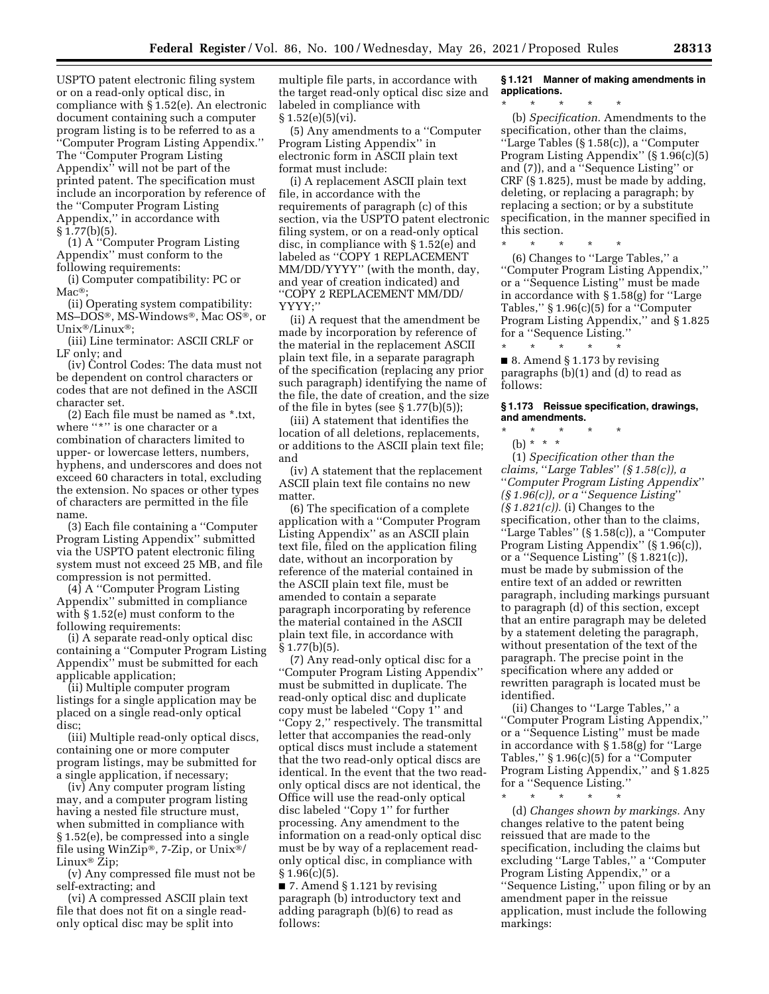USPTO patent electronic filing system or on a read-only optical disc, in compliance with § 1.52(e). An electronic document containing such a computer program listing is to be referred to as a ''Computer Program Listing Appendix.'' The ''Computer Program Listing Appendix'' will not be part of the printed patent. The specification must include an incorporation by reference of the ''Computer Program Listing Appendix,'' in accordance with § 1.77(b)(5).

(1) A ''Computer Program Listing Appendix'' must conform to the following requirements:

(i) Computer compatibility: PC or  $Mac^{\circledR}$ 

(ii) Operating system compatibility: MS–DOS®, MS-Windows®, Mac OS®, or Unix®/Linux®;

(iii) Line terminator: ASCII CRLF or LF only; and

(iv) Control Codes: The data must not be dependent on control characters or codes that are not defined in the ASCII character set.

(2) Each file must be named as \*.txt, where "\*" is one character or a combination of characters limited to upper- or lowercase letters, numbers, hyphens, and underscores and does not exceed 60 characters in total, excluding the extension. No spaces or other types of characters are permitted in the file name.

(3) Each file containing a ''Computer Program Listing Appendix'' submitted via the USPTO patent electronic filing system must not exceed 25 MB, and file compression is not permitted.

(4) A ''Computer Program Listing Appendix'' submitted in compliance with § 1.52(e) must conform to the following requirements:

(i) A separate read-only optical disc containing a ''Computer Program Listing Appendix'' must be submitted for each applicable application;

(ii) Multiple computer program listings for a single application may be placed on a single read-only optical disc;

(iii) Multiple read-only optical discs, containing one or more computer program listings, may be submitted for a single application, if necessary;

(iv) Any computer program listing may, and a computer program listing having a nested file structure must, when submitted in compliance with § 1.52(e), be compressed into a single file using WinZip®, 7-Zip, or Unix®/ Linux® Zip;

(v) Any compressed file must not be self-extracting; and

(vi) A compressed ASCII plain text file that does not fit on a single readonly optical disc may be split into

multiple file parts, in accordance with the target read-only optical disc size and labeled in compliance with  $§ 1.52(e)(5)(vi).$ 

(5) Any amendments to a ''Computer Program Listing Appendix'' in electronic form in ASCII plain text format must include:

(i) A replacement ASCII plain text file, in accordance with the requirements of paragraph (c) of this section, via the USPTO patent electronic filing system, or on a read-only optical disc, in compliance with § 1.52(e) and labeled as ''COPY 1 REPLACEMENT MM/DD/YYYY'' (with the month, day, and year of creation indicated) and ''COPY 2 REPLACEMENT MM/DD/ YYYY;''

(ii) A request that the amendment be made by incorporation by reference of the material in the replacement ASCII plain text file, in a separate paragraph of the specification (replacing any prior such paragraph) identifying the name of the file, the date of creation, and the size of the file in bytes (see § 1.77(b)(5));

(iii) A statement that identifies the location of all deletions, replacements, or additions to the ASCII plain text file; and

(iv) A statement that the replacement ASCII plain text file contains no new matter.

(6) The specification of a complete application with a ''Computer Program Listing Appendix'' as an ASCII plain text file, filed on the application filing date, without an incorporation by reference of the material contained in the ASCII plain text file, must be amended to contain a separate paragraph incorporating by reference the material contained in the ASCII plain text file, in accordance with § 1.77(b)(5).

(7) Any read-only optical disc for a ''Computer Program Listing Appendix'' must be submitted in duplicate. The read-only optical disc and duplicate copy must be labeled ''Copy 1'' and ''Copy 2,'' respectively. The transmittal letter that accompanies the read-only optical discs must include a statement that the two read-only optical discs are identical. In the event that the two readonly optical discs are not identical, the Office will use the read-only optical disc labeled ''Copy 1'' for further processing. Any amendment to the information on a read-only optical disc must be by way of a replacement readonly optical disc, in compliance with  $§ 1.96(c)(5)$ .

■ 7. Amend § 1.121 by revising paragraph (b) introductory text and adding paragraph (b)(6) to read as follows:

**§ 1.121 Manner of making amendments in applications.** 

\* \* \* \* \* (b) *Specification.* Amendments to the specification, other than the claims, ''Large Tables (§ 1.58(c)), a ''Computer Program Listing Appendix" (§ 1.96(c)(5) and (7)), and a ''Sequence Listing'' or CRF (§ 1.825), must be made by adding, deleting, or replacing a paragraph; by replacing a section; or by a substitute specification, in the manner specified in this section.

(6) Changes to ''Large Tables,'' a ''Computer Program Listing Appendix,'' or a ''Sequence Listing'' must be made in accordance with § 1.58(g) for ''Large Tables,'' § 1.96(c)(5) for a ''Computer Program Listing Appendix,'' and § 1.825 for a "Sequence Listing."<br>\* \* \* \* \* \* \* \*

\* \* \* \* \* ■ 8. Amend § 1.173 by revising paragraphs (b)(1) and (d) to read as follows:

**§ 1.173 Reissue specification, drawings, and amendments.** 

 $\star$   $\star$ (b) \* \* \*

\* \* \* \* \*

(1) *Specification other than the claims,* ''*Large Tables*'' *(§ 1.58(c)), a*  ''*Computer Program Listing Appendix*'' *(§ 1.96(c)), or a* ''*Sequence Listing*'' *(§ 1.821(c)).* (i) Changes to the specification, other than to the claims, ''Large Tables'' (§ 1.58(c)), a ''Computer Program Listing Appendix'' (§ 1.96(c)), or a ''Sequence Listing'' (§ 1.821(c)), must be made by submission of the entire text of an added or rewritten paragraph, including markings pursuant to paragraph (d) of this section, except that an entire paragraph may be deleted by a statement deleting the paragraph, without presentation of the text of the paragraph. The precise point in the specification where any added or rewritten paragraph is located must be identified.

(ii) Changes to ''Large Tables,'' a ''Computer Program Listing Appendix,'' or a ''Sequence Listing'' must be made in accordance with § 1.58(g) for ''Large Tables,'' § 1.96(c)(5) for a ''Computer Program Listing Appendix," and §1.825 for a ''Sequence Listing.''

\* \* \* \* \* (d) *Changes shown by markings.* Any changes relative to the patent being reissued that are made to the specification, including the claims but excluding ''Large Tables,'' a ''Computer Program Listing Appendix,'' or a ''Sequence Listing,'' upon filing or by an amendment paper in the reissue application, must include the following markings: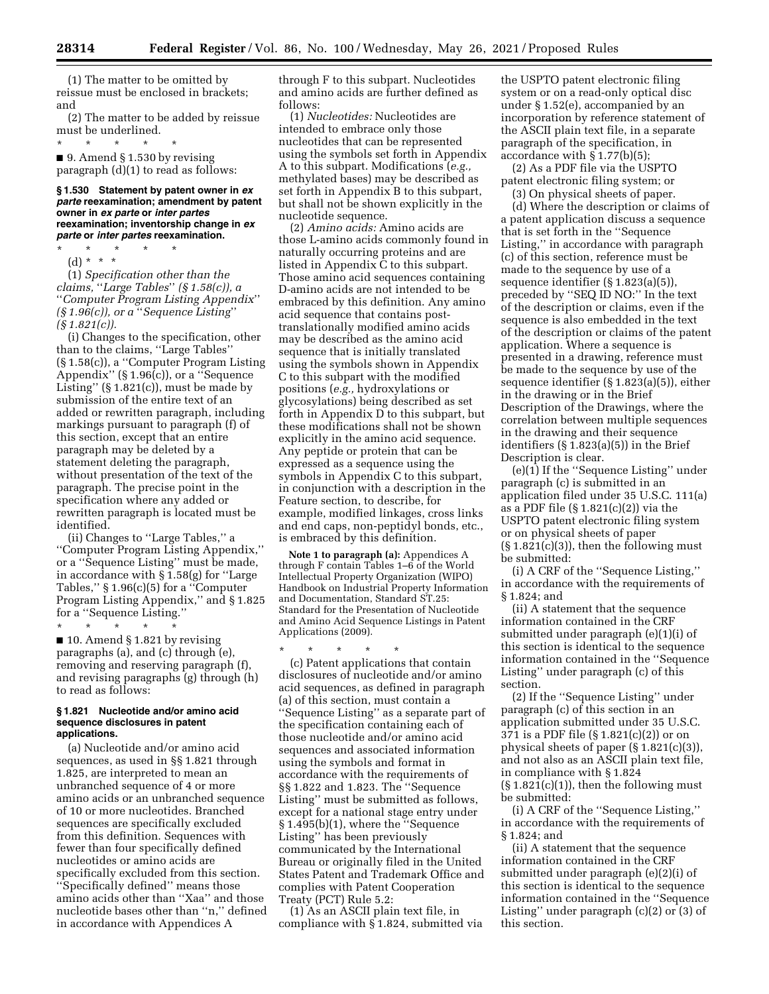(1) The matter to be omitted by reissue must be enclosed in brackets; and

(2) The matter to be added by reissue must be underlined.<br> $*$  \* \* \* \*

\* \* \* \* \* ■ 9. Amend § 1.530 by revising paragraph (d)(1) to read as follows:

#### **§ 1.530 Statement by patent owner in** *ex parte* **reexamination; amendment by patent owner in** *ex parte* **or** *inter partes*  **reexamination; inventorship change in** *ex parte* **or** *inter partes* **reexamination.**

\* \* \* \* \* (d) \* \* \*

(1) *Specification other than the claims,* ''*Large Tables*'' *(§ 1.58(c)), a*  ''*Computer Program Listing Appendix*'' *(§ 1.96(c)), or a* ''*Sequence Listing*'' *(§ 1.821(c)).* 

(i) Changes to the specification, other than to the claims, ''Large Tables'' (§ 1.58(c)), a ''Computer Program Listing Appendix'' (§ 1.96(c)), or a ''Sequence Listing"  $(S 1.821(c))$ , must be made by submission of the entire text of an added or rewritten paragraph, including markings pursuant to paragraph (f) of this section, except that an entire paragraph may be deleted by a statement deleting the paragraph, without presentation of the text of the paragraph. The precise point in the specification where any added or rewritten paragraph is located must be identified.

(ii) Changes to ''Large Tables,'' a ''Computer Program Listing Appendix,'' or a ''Sequence Listing'' must be made, in accordance with § 1.58(g) for ''Large Tables,'' § 1.96(c)(5) for a ''Computer Program Listing Appendix," and §1.825 for a ''Sequence Listing.''

\* \* \* \* \* ■ 10. Amend § 1.821 by revising paragraphs (a), and (c) through (e), removing and reserving paragraph (f), and revising paragraphs (g) through (h) to read as follows:

#### **§ 1.821 Nucleotide and/or amino acid sequence disclosures in patent applications.**

(a) Nucleotide and/or amino acid sequences, as used in §§ 1.821 through 1.825, are interpreted to mean an unbranched sequence of 4 or more amino acids or an unbranched sequence of 10 or more nucleotides. Branched sequences are specifically excluded from this definition. Sequences with fewer than four specifically defined nucleotides or amino acids are specifically excluded from this section. ''Specifically defined'' means those amino acids other than ''Xaa'' and those nucleotide bases other than ''n,'' defined in accordance with Appendices A

through F to this subpart. Nucleotides and amino acids are further defined as follows:

(1) *Nucleotides:* Nucleotides are intended to embrace only those nucleotides that can be represented using the symbols set forth in Appendix A to this subpart. Modifications (*e.g.,*  methylated bases) may be described as set forth in Appendix B to this subpart, but shall not be shown explicitly in the nucleotide sequence.

(2) *Amino acids:* Amino acids are those L-amino acids commonly found in naturally occurring proteins and are listed in Appendix C to this subpart. Those amino acid sequences containing D-amino acids are not intended to be embraced by this definition. Any amino acid sequence that contains posttranslationally modified amino acids may be described as the amino acid sequence that is initially translated using the symbols shown in Appendix C to this subpart with the modified positions (*e.g.,* hydroxylations or glycosylations) being described as set forth in Appendix D to this subpart, but these modifications shall not be shown explicitly in the amino acid sequence. Any peptide or protein that can be expressed as a sequence using the symbols in Appendix C to this subpart, in conjunction with a description in the Feature section, to describe, for example, modified linkages, cross links and end caps, non-peptidyl bonds, etc., is embraced by this definition.

**Note 1 to paragraph (a):** Appendices A through F contain Tables 1–6 of the World Intellectual Property Organization (WIPO) Handbook on Industrial Property Information and Documentation, Standard ST.25: Standard for the Presentation of Nucleotide and Amino Acid Sequence Listings in Patent Applications (2009).

\* \* \* \* \* (c) Patent applications that contain disclosures of nucleotide and/or amino acid sequences, as defined in paragraph (a) of this section, must contain a ''Sequence Listing'' as a separate part of the specification containing each of those nucleotide and/or amino acid sequences and associated information using the symbols and format in accordance with the requirements of §§ 1.822 and 1.823. The ''Sequence Listing'' must be submitted as follows, except for a national stage entry under § 1.495(b)(1), where the ''Sequence Listing'' has been previously communicated by the International Bureau or originally filed in the United States Patent and Trademark Office and complies with Patent Cooperation Treaty (PCT) Rule 5.2:

(1) As an ASCII plain text file, in compliance with § 1.824, submitted via

the USPTO patent electronic filing system or on a read-only optical disc under § 1.52(e), accompanied by an incorporation by reference statement of the ASCII plain text file, in a separate paragraph of the specification, in accordance with § 1.77(b)(5);

(2) As a PDF file via the USPTO patent electronic filing system; or

(3) On physical sheets of paper. (d) Where the description or claims of a patent application discuss a sequence that is set forth in the ''Sequence Listing,'' in accordance with paragraph (c) of this section, reference must be made to the sequence by use of a sequence identifier (§ 1.823(a)(5)), preceded by ''SEQ ID NO:'' In the text of the description or claims, even if the sequence is also embedded in the text of the description or claims of the patent application. Where a sequence is presented in a drawing, reference must be made to the sequence by use of the sequence identifier (§ 1.823(a)(5)), either in the drawing or in the Brief Description of the Drawings, where the correlation between multiple sequences in the drawing and their sequence identifiers (§ 1.823(a)(5)) in the Brief Description is clear.

(e)(1) If the ''Sequence Listing'' under paragraph (c) is submitted in an application filed under 35 U.S.C. 111(a) as a PDF file (§ 1.821(c)(2)) via the USPTO patent electronic filing system or on physical sheets of paper  $(\S 1.821(c)(3))$ , then the following must be submitted:

(i) A CRF of the ''Sequence Listing,'' in accordance with the requirements of § 1.824; and

(ii) A statement that the sequence information contained in the CRF submitted under paragraph (e)(1)(i) of this section is identical to the sequence information contained in the ''Sequence Listing'' under paragraph (c) of this section.

(2) If the ''Sequence Listing'' under paragraph (c) of this section in an application submitted under 35 U.S.C. 371 is a PDF file (§ 1.821(c)(2)) or on physical sheets of paper (§ 1.821(c)(3)), and not also as an ASCII plain text file, in compliance with § 1.824  $(\S 1.821(c)(1))$ , then the following must be submitted:

(i) A CRF of the ''Sequence Listing,'' in accordance with the requirements of § 1.824; and

(ii) A statement that the sequence information contained in the CRF submitted under paragraph (e)(2)(i) of this section is identical to the sequence information contained in the ''Sequence Listing'' under paragraph (c)(2) or (3) of this section.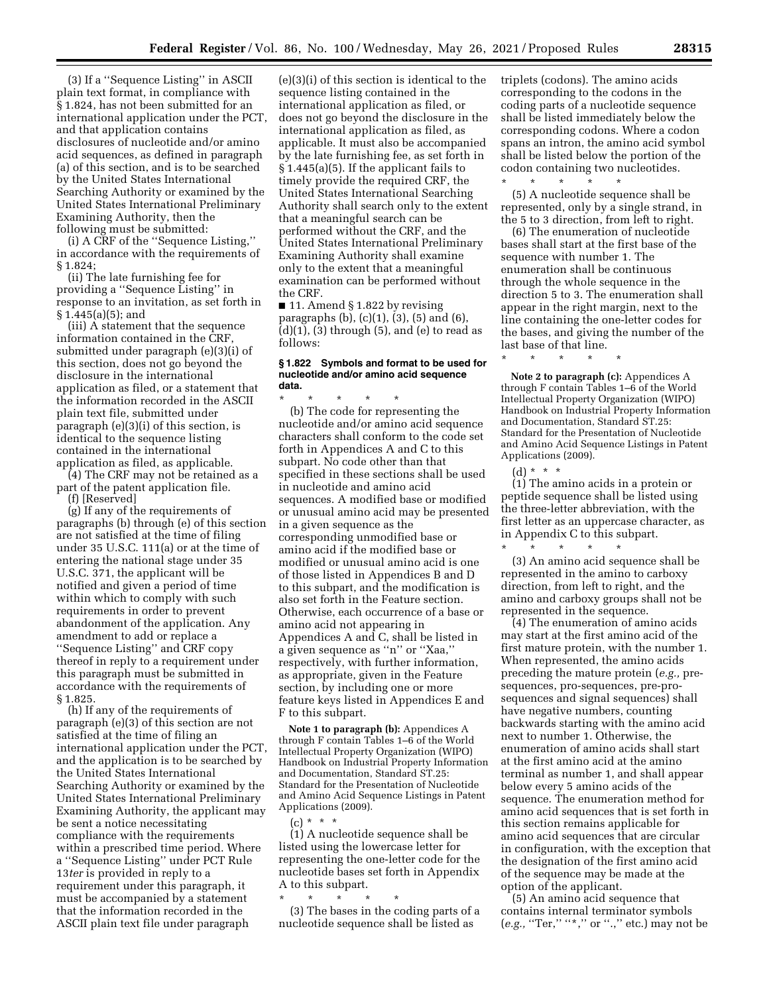(3) If a ''Sequence Listing'' in ASCII plain text format, in compliance with § 1.824, has not been submitted for an international application under the PCT, and that application contains disclosures of nucleotide and/or amino acid sequences, as defined in paragraph (a) of this section, and is to be searched by the United States International Searching Authority or examined by the United States International Preliminary Examining Authority, then the following must be submitted:

(i) A CRF of the ''Sequence Listing,'' in accordance with the requirements of § 1.824;

(ii) The late furnishing fee for providing a ''Sequence Listing'' in response to an invitation, as set forth in § 1.445(a)(5); and

(iii) A statement that the sequence information contained in the CRF, submitted under paragraph (e)(3)(i) of this section, does not go beyond the disclosure in the international application as filed, or a statement that the information recorded in the ASCII plain text file, submitted under paragraph (e)(3)(i) of this section, is identical to the sequence listing contained in the international application as filed, as applicable.

(4) The CRF may not be retained as a part of the patent application file.

(f) [Reserved]

(g) If any of the requirements of paragraphs (b) through (e) of this section are not satisfied at the time of filing under 35 U.S.C. 111(a) or at the time of entering the national stage under 35 U.S.C. 371, the applicant will be notified and given a period of time within which to comply with such requirements in order to prevent abandonment of the application. Any amendment to add or replace a ''Sequence Listing'' and CRF copy thereof in reply to a requirement under this paragraph must be submitted in accordance with the requirements of § 1.825.

(h) If any of the requirements of paragraph (e)(3) of this section are not satisfied at the time of filing an international application under the PCT, and the application is to be searched by the United States International Searching Authority or examined by the United States International Preliminary Examining Authority, the applicant may be sent a notice necessitating compliance with the requirements within a prescribed time period. Where a ''Sequence Listing'' under PCT Rule 13*ter* is provided in reply to a requirement under this paragraph, it must be accompanied by a statement that the information recorded in the ASCII plain text file under paragraph

(e)(3)(i) of this section is identical to the sequence listing contained in the international application as filed, or does not go beyond the disclosure in the international application as filed, as applicable. It must also be accompanied by the late furnishing fee, as set forth in § 1.445(a)(5). If the applicant fails to timely provide the required CRF, the United States International Searching Authority shall search only to the extent that a meaningful search can be performed without the CRF, and the United States International Preliminary Examining Authority shall examine only to the extent that a meaningful examination can be performed without the CRF.

■ 11. Amend § 1.822 by revising paragraphs (b), (c)(1), (3), (5) and (6),  $(d)(1)$ ,  $(3)$  through  $(5)$ , and  $(e)$  to read as follows:

#### **§ 1.822 Symbols and format to be used for nucleotide and/or amino acid sequence data.**

\* \* \* \* \* (b) The code for representing the nucleotide and/or amino acid sequence characters shall conform to the code set forth in Appendices A and C to this subpart. No code other than that specified in these sections shall be used in nucleotide and amino acid sequences. A modified base or modified or unusual amino acid may be presented in a given sequence as the corresponding unmodified base or amino acid if the modified base or modified or unusual amino acid is one of those listed in Appendices B and D to this subpart, and the modification is also set forth in the Feature section. Otherwise, each occurrence of a base or amino acid not appearing in Appendices A and C, shall be listed in a given sequence as ''n'' or ''Xaa,'' respectively, with further information, as appropriate, given in the Feature section, by including one or more feature keys listed in Appendices E and F to this subpart.

**Note 1 to paragraph (b):** Appendices A through F contain Tables 1–6 of the World Intellectual Property Organization (WIPO) Handbook on Industrial Property Information and Documentation, Standard ST.25: Standard for the Presentation of Nucleotide and Amino Acid Sequence Listings in Patent Applications (2009).

 $(c) * * * *$ 

(1) A nucleotide sequence shall be listed using the lowercase letter for representing the one-letter code for the nucleotide bases set forth in Appendix A to this subpart.

\* \* \* \* \* (3) The bases in the coding parts of a nucleotide sequence shall be listed as

triplets (codons). The amino acids corresponding to the codons in the coding parts of a nucleotide sequence shall be listed immediately below the corresponding codons. Where a codon spans an intron, the amino acid symbol shall be listed below the portion of the codon containing two nucleotides. \* \* \* \* \*

(5) A nucleotide sequence shall be represented, only by a single strand, in the 5 to 3 direction, from left to right.

(6) The enumeration of nucleotide bases shall start at the first base of the sequence with number 1. The enumeration shall be continuous through the whole sequence in the direction 5 to 3. The enumeration shall appear in the right margin, next to the line containing the one-letter codes for the bases, and giving the number of the last base of that line.

\* \* \* \* \*

**Note 2 to paragraph (c):** Appendices A through F contain Tables 1–6 of the World Intellectual Property Organization (WIPO) Handbook on Industrial Property Information and Documentation, Standard ST.25: Standard for the Presentation of Nucleotide and Amino Acid Sequence Listings in Patent Applications (2009).

 $(d) * * * *$ 

(1) The amino acids in a protein or peptide sequence shall be listed using the three-letter abbreviation, with the first letter as an uppercase character, as in Appendix C to this subpart.

\* \* \* \* \* (3) An amino acid sequence shall be represented in the amino to carboxy direction, from left to right, and the amino and carboxy groups shall not be represented in the sequence.

(4) The enumeration of amino acids may start at the first amino acid of the first mature protein, with the number 1. When represented, the amino acids preceding the mature protein (*e.g.,* presequences, pro-sequences, pre-prosequences and signal sequences) shall have negative numbers, counting backwards starting with the amino acid next to number 1. Otherwise, the enumeration of amino acids shall start at the first amino acid at the amino terminal as number 1, and shall appear below every 5 amino acids of the sequence. The enumeration method for amino acid sequences that is set forth in this section remains applicable for amino acid sequences that are circular in configuration, with the exception that the designation of the first amino acid of the sequence may be made at the option of the applicant.

(5) An amino acid sequence that contains internal terminator symbols (*e.g.,* "Ter," "\*," or ".," etc.) may not be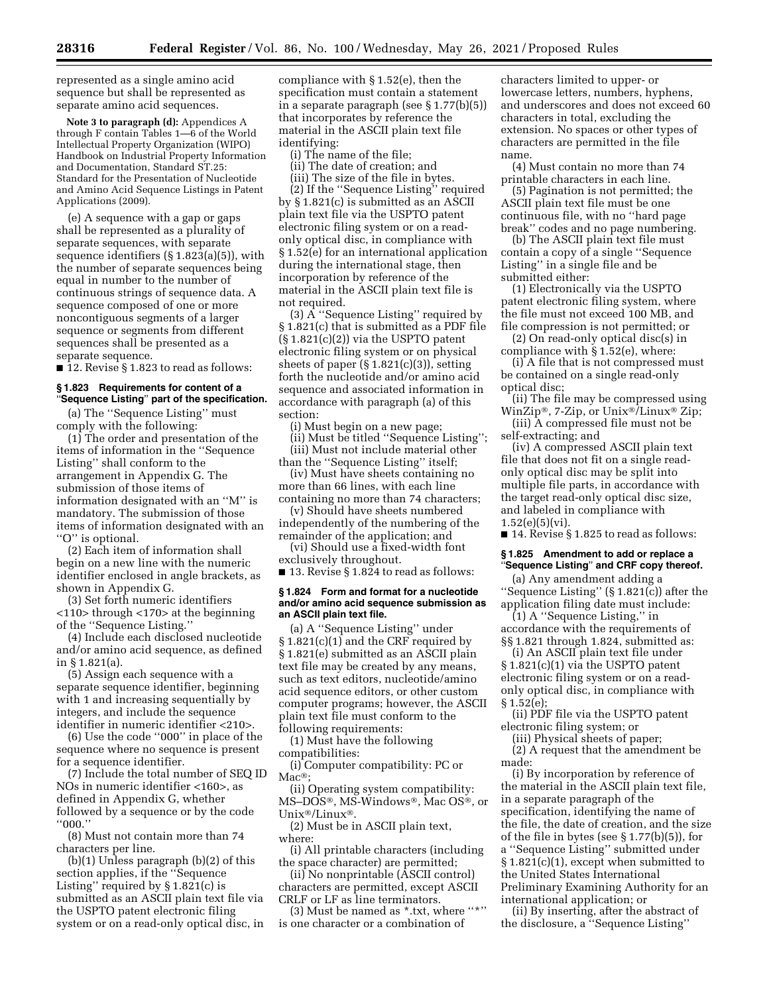represented as a single amino acid sequence but shall be represented as separate amino acid sequences.

**Note 3 to paragraph (d):** Appendices A through F contain Tables 1—6 of the World Intellectual Property Organization (WIPO) Handbook on Industrial Property Information and Documentation, Standard ST.25: Standard for the Presentation of Nucleotide and Amino Acid Sequence Listings in Patent Applications (2009).

(e) A sequence with a gap or gaps shall be represented as a plurality of separate sequences, with separate sequence identifiers (§ 1.823(a)(5)), with the number of separate sequences being equal in number to the number of continuous strings of sequence data. A sequence composed of one or more noncontiguous segments of a larger sequence or segments from different sequences shall be presented as a separate sequence.

■ 12. Revise § 1.823 to read as follows:

#### **§ 1.823 Requirements for content of a**  ''**Sequence Listing**'' **part of the specification.**

(a) The ''Sequence Listing'' must comply with the following:

(1) The order and presentation of the items of information in the ''Sequence Listing'' shall conform to the arrangement in Appendix G. The submission of those items of information designated with an ''M'' is mandatory. The submission of those items of information designated with an "O" is optional.

(2) Each item of information shall begin on a new line with the numeric identifier enclosed in angle brackets, as shown in Appendix G.

(3) Set forth numeric identifiers <110> through <170> at the beginning of the ''Sequence Listing.''

(4) Include each disclosed nucleotide and/or amino acid sequence, as defined in § 1.821(a).

(5) Assign each sequence with a separate sequence identifier, beginning with 1 and increasing sequentially by integers, and include the sequence identifier in numeric identifier <210>.

(6) Use the code ''000'' in place of the sequence where no sequence is present for a sequence identifier.

(7) Include the total number of SEQ ID NOs in numeric identifier <160>, as defined in Appendix G, whether followed by a sequence or by the code ''000.''

(8) Must not contain more than 74 characters per line.

(b)(1) Unless paragraph (b)(2) of this section applies, if the ''Sequence Listing'' required by § 1.821(c) is submitted as an ASCII plain text file via the USPTO patent electronic filing system or on a read-only optical disc, in compliance with § 1.52(e), then the specification must contain a statement in a separate paragraph (see § 1.77(b)(5)) that incorporates by reference the material in the ASCII plain text file identifying:

(i) The name of the file;

(ii) The date of creation; and

(iii) The size of the file in bytes.

(2) If the ''Sequence Listing'' required by § 1.821(c) is submitted as an ASCII plain text file via the USPTO patent electronic filing system or on a readonly optical disc, in compliance with § 1.52(e) for an international application during the international stage, then incorporation by reference of the material in the ASCII plain text file is not required.

(3) A ''Sequence Listing'' required by § 1.821(c) that is submitted as a PDF file (§ 1.821(c)(2)) via the USPTO patent electronic filing system or on physical sheets of paper  $(\S 1.821(c)(3))$ , setting forth the nucleotide and/or amino acid sequence and associated information in accordance with paragraph (a) of this section:

(i) Must begin on a new page;

(ii) Must be titled ''Sequence Listing''; (iii) Must not include material other than the ''Sequence Listing'' itself;

(iv) Must have sheets containing no more than 66 lines, with each line containing no more than 74 characters;

(v) Should have sheets numbered independently of the numbering of the remainder of the application; and

(vi) Should use a fixed-width font exclusively throughout.

■ 13. Revise § 1.824 to read as follows:

#### **§ 1.824 Form and format for a nucleotide and/or amino acid sequence submission as an ASCII plain text file.**

(a) A ''Sequence Listing'' under § 1.821(c)(1) and the CRF required by § 1.821(e) submitted as an ASCII plain text file may be created by any means, such as text editors, nucleotide/amino acid sequence editors, or other custom computer programs; however, the ASCII plain text file must conform to the following requirements:

(1) Must have the following compatibilities:

(i) Computer compatibility: PC or Mac<sup>®</sup>;

(ii) Operating system compatibility: MS–DOS®, MS-Windows®, Mac OS®, or Unix®/Linux®.

(2) Must be in ASCII plain text, where:

(i) All printable characters (including the space character) are permitted;

(ii) No nonprintable (ASCII control) characters are permitted, except ASCII CRLF or LF as line terminators.

(3) Must be named as \*.txt, where "\*"

is one character or a combination of

characters limited to upper- or lowercase letters, numbers, hyphens, and underscores and does not exceed 60 characters in total, excluding the extension. No spaces or other types of characters are permitted in the file name.

(4) Must contain no more than 74 printable characters in each line.

(5) Pagination is not permitted; the ASCII plain text file must be one continuous file, with no ''hard page break'' codes and no page numbering.

(b) The ASCII plain text file must contain a copy of a single ''Sequence Listing'' in a single file and be submitted either:

(1) Electronically via the USPTO patent electronic filing system, where the file must not exceed 100 MB, and file compression is not permitted; or

(2) On read-only optical disc(s) in compliance with § 1.52(e), where:

(i) A file that is not compressed must be contained on a single read-only optical disc;

(ii) The file may be compressed using WinZip®, 7-Zip, or Unix®/Linux® Zip;

(iii) A compressed file must not be self-extracting; and

(iv) A compressed ASCII plain text file that does not fit on a single readonly optical disc may be split into multiple file parts, in accordance with the target read-only optical disc size, and labeled in compliance with  $1.52(e)(5)(vi)$ .

■ 14. Revise § 1.825 to read as follows:

#### **§ 1.825 Amendment to add or replace a**  ''**Sequence Listing**'' **and CRF copy thereof.**

(a) Any amendment adding a ''Sequence Listing'' (§ 1.821(c)) after the application filing date must include:

(1) A ''Sequence Listing,'' in accordance with the requirements of §§ 1.821 through 1.824, submitted as:

(i) An ASCII plain text file under § 1.821(c)(1) via the USPTO patent electronic filing system or on a readonly optical disc, in compliance with § 1.52(e);

(ii) PDF file via the USPTO patent electronic filing system; or

(iii) Physical sheets of paper;

(2) A request that the amendment be made:

(i) By incorporation by reference of the material in the ASCII plain text file, in a separate paragraph of the specification, identifying the name of the file, the date of creation, and the size of the file in bytes (see § 1.77(b)(5)), for a ''Sequence Listing'' submitted under § 1.821(c)(1), except when submitted to the United States International Preliminary Examining Authority for an international application; or

(ii) By inserting, after the abstract of the disclosure, a ''Sequence Listing''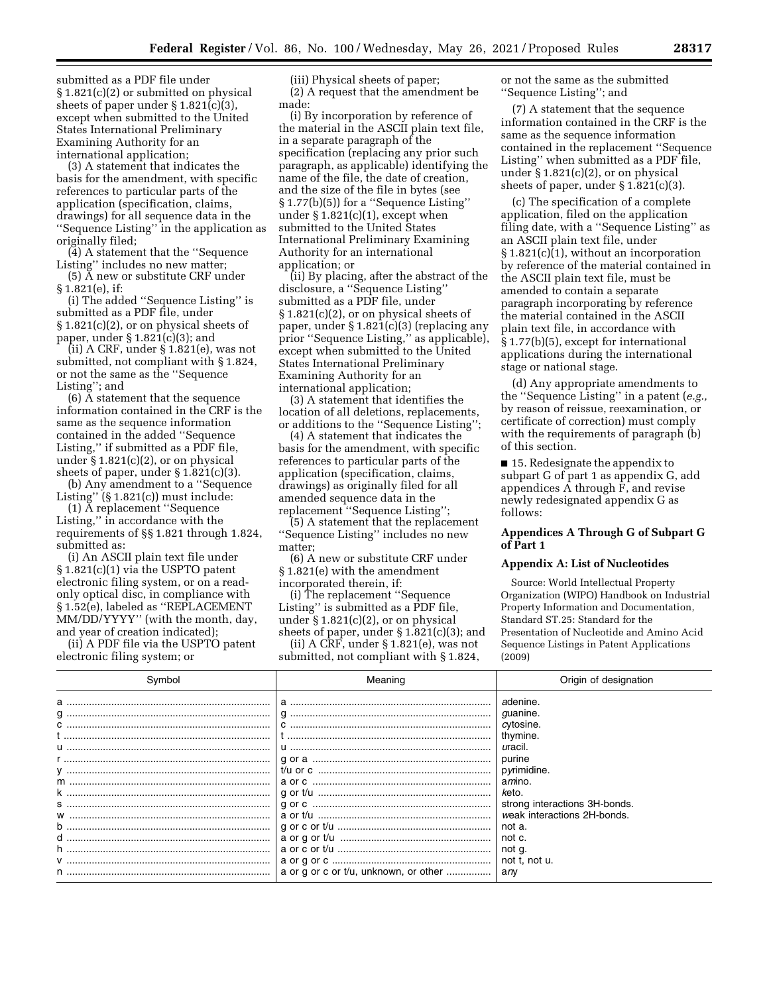submitted as a PDF file under § 1.821(c)(2) or submitted on physical sheets of paper under § 1.821(c)(3), except when submitted to the United States International Preliminary Examining Authority for an international application;

(3) A statement that indicates the basis for the amendment, with specific references to particular parts of the application (specification, claims, drawings) for all sequence data in the ''Sequence Listing'' in the application as originally filed;

(4) A statement that the ''Sequence Listing'' includes no new matter;

(5) A new or substitute CRF under § 1.821(e), if:

(i) The added ''Sequence Listing'' is submitted as a PDF file, under § 1.821(c)(2), or on physical sheets of paper, under § 1.821(c)(3); and

(ii) A CRF, under § 1.821(e), was not submitted, not compliant with § 1.824, or not the same as the ''Sequence Listing''; and

(6) A statement that the sequence information contained in the CRF is the same as the sequence information contained in the added ''Sequence Listing,'' if submitted as a PDF file, under  $\S 1.821(c)(2)$ , or on physical sheets of paper, under § 1.821(c)(3).

(b) Any amendment to a ''Sequence Listing"  $(\S 1.821(c))$  must include:

(1) A replacement ''Sequence Listing,'' in accordance with the requirements of §§ 1.821 through 1.824, submitted as:

(i) An ASCII plain text file under § 1.821(c)(1) via the USPTO patent electronic filing system, or on a readonly optical disc, in compliance with § 1.52(e), labeled as ''REPLACEMENT MM/DD/YYYY'' (with the month, day, and year of creation indicated);

(ii) A PDF file via the USPTO patent electronic filing system; or

(iii) Physical sheets of paper; (2) A request that the amendment be made:

(i) By incorporation by reference of the material in the ASCII plain text file, in a separate paragraph of the specification (replacing any prior such paragraph, as applicable) identifying the name of the file, the date of creation, and the size of the file in bytes (see § 1.77(b)(5)) for a ''Sequence Listing'' under  $\S 1.821(c)(1)$ , except when submitted to the United States International Preliminary Examining Authority for an international application; or

(ii) By placing, after the abstract of the disclosure, a ''Sequence Listing'' submitted as a PDF file, under § 1.821(c)(2), or on physical sheets of paper, under § 1.821(c)(3) (replacing any prior ''Sequence Listing,'' as applicable), except when submitted to the United States International Preliminary Examining Authority for an international application;

(3) A statement that identifies the location of all deletions, replacements, or additions to the ''Sequence Listing'';

(4) A statement that indicates the basis for the amendment, with specific references to particular parts of the application (specification, claims, drawings) as originally filed for all amended sequence data in the replacement ''Sequence Listing'';

(5) A statement that the replacement ''Sequence Listing'' includes no new matter;

(6) A new or substitute CRF under § 1.821(e) with the amendment incorporated therein, if:

(i) The replacement ''Sequence Listing'' is submitted as a PDF file, under § 1.821(c)(2), or on physical sheets of paper, under § 1.821(c)(3); and

(ii) A CRF, under § 1.821(e), was not submitted, not compliant with § 1.824, or not the same as the submitted ''Sequence Listing''; and

(7) A statement that the sequence information contained in the CRF is the same as the sequence information contained in the replacement ''Sequence Listing'' when submitted as a PDF file, under § 1.821(c)(2), or on physical sheets of paper, under § 1.821(c)(3).

(c) The specification of a complete application, filed on the application filing date, with a ''Sequence Listing'' as an ASCII plain text file, under § 1.821(c)(1), without an incorporation by reference of the material contained in the ASCII plain text file, must be amended to contain a separate paragraph incorporating by reference the material contained in the ASCII plain text file, in accordance with § 1.77(b)(5), except for international applications during the international stage or national stage.

(d) Any appropriate amendments to the ''Sequence Listing'' in a patent (*e.g.,*  by reason of reissue, reexamination, or certificate of correction) must comply with the requirements of paragraph (b) of this section.

■ 15. Redesignate the appendix to subpart G of part 1 as appendix G, add appendices A through F, and revise newly redesignated appendix G as follows:

## **Appendices A Through G of Subpart G of Part 1**

## **Appendix A: List of Nucleotides**

Source: World Intellectual Property Organization (WIPO) Handbook on Industrial Property Information and Documentation, Standard ST.25: Standard for the Presentation of Nucleotide and Amino Acid Sequence Listings in Patent Applications (2009)

| adenine.<br>a<br>guanine.                                                                                                                                                                                                                                                           |  |
|-------------------------------------------------------------------------------------------------------------------------------------------------------------------------------------------------------------------------------------------------------------------------------------|--|
| cytosine.<br>thymine.<br>uracil.<br>purine<br>pyrimidine.<br>a <i>m</i> ino.<br>keto.<br>strong interactions 3H-bonds.<br>S …………………………………………………………………<br>weak interactions 2H-bonds.<br>not a.<br>not c.<br>not g.<br>not t, not u.<br>a or g or c or t/u, unknown, or other<br>anv |  |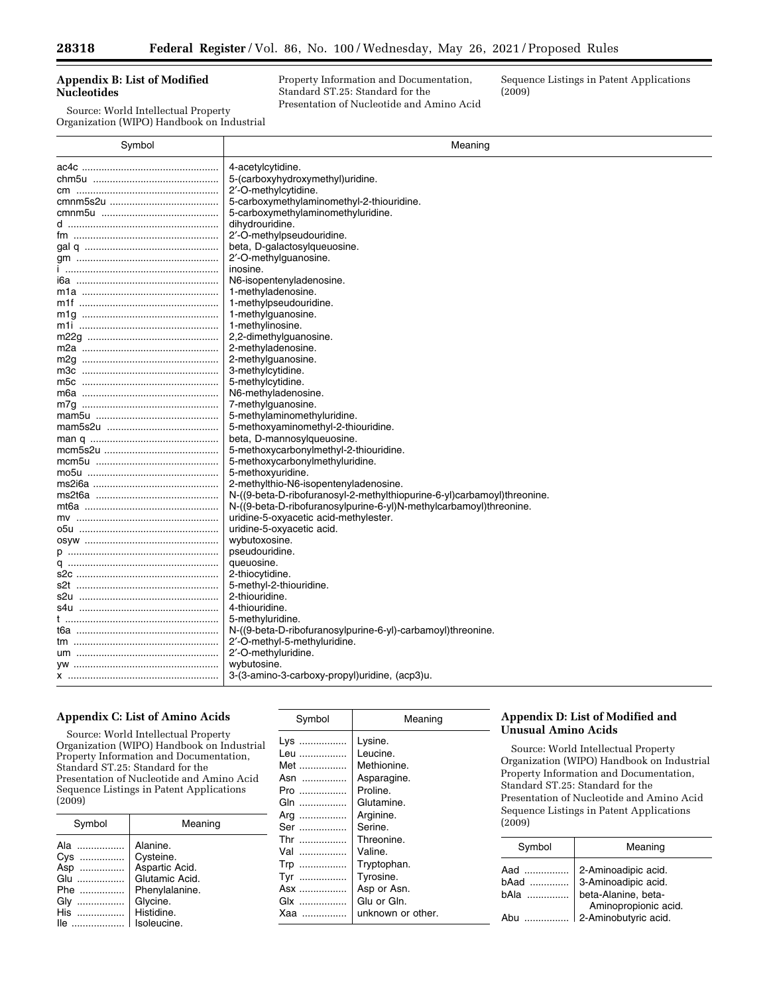## **Appendix B: List of Modified Nucleotides**

Source: World Intellectual Property Organization (WIPO) Handbook on Industrial Property Information and Documentation, Standard ST.25: Standard for the Presentation of Nucleotide and Amino Acid Sequence Listings in Patent Applications (2009)

| Symbol                | Meaning                                                                 |  |  |
|-----------------------|-------------------------------------------------------------------------|--|--|
|                       | 4-acetylcytidine.                                                       |  |  |
|                       | 5-(carboxyhydroxymethyl)uridine.                                        |  |  |
|                       | 2'-O-methylcytidine.                                                    |  |  |
|                       | 5-carboxymethylaminomethyl-2-thiouridine.                               |  |  |
|                       | 5-carboxymethylaminomethyluridine.                                      |  |  |
|                       | dihydrouridine.                                                         |  |  |
|                       | 2'-O-methylpseudouridine.                                               |  |  |
|                       | beta, D-galactosylqueuosine.                                            |  |  |
|                       | 2'-O-methylguanosine.                                                   |  |  |
|                       | inosine.                                                                |  |  |
| і6а …………………………………………… | N6-isopentenyladenosine.                                                |  |  |
|                       | 1-methyladenosine.                                                      |  |  |
|                       | 1-methylpseudouridine.                                                  |  |  |
|                       | 1-methylguanosine.                                                      |  |  |
|                       | 1-methylinosine.                                                        |  |  |
|                       | 2,2-dimethylguanosine.                                                  |  |  |
|                       | 2-methyladenosine.                                                      |  |  |
|                       | 2-methylguanosine.                                                      |  |  |
|                       | 3-methylcytidine.                                                       |  |  |
|                       | 5-methylcytidine.                                                       |  |  |
|                       | N6-methyladenosine.                                                     |  |  |
|                       | 7-methylguanosine.                                                      |  |  |
|                       | 5-methylaminomethyluridine.                                             |  |  |
|                       | 5-methoxyaminomethyl-2-thiouridine.                                     |  |  |
|                       | beta, D-mannosylqueuosine.                                              |  |  |
|                       | 5-methoxycarbonylmethyl-2-thiouridine.                                  |  |  |
|                       | 5-methoxycarbonylmethyluridine.                                         |  |  |
|                       | 5-methoxyuridine.                                                       |  |  |
|                       | 2-methylthio-N6-isopentenyladenosine.                                   |  |  |
|                       | N-((9-beta-D-ribofuranosyl-2-methylthiopurine-6-yl)carbamoyl)threonine. |  |  |
|                       | N-((9-beta-D-ribofuranosylpurine-6-yl)N-methylcarbamoyl)threonine.      |  |  |
|                       | uridine-5-oxyacetic acid-methylester.                                   |  |  |
|                       | uridine-5-oxyacetic acid.                                               |  |  |
|                       | wybutoxosine.                                                           |  |  |
|                       | pseudouridine.                                                          |  |  |
|                       | queuosine.                                                              |  |  |
|                       | 2-thiocytidine.                                                         |  |  |
|                       | 5-methyl-2-thiouridine.                                                 |  |  |
|                       | 2-thiouridine.                                                          |  |  |
|                       | 4-thiouridine.                                                          |  |  |
|                       | 5-methyluridine.                                                        |  |  |
|                       | N-((9-beta-D-ribofuranosylpurine-6-yl)-carbamoyl)threonine.             |  |  |
|                       | 2'-O-methyl-5-methyluridine.                                            |  |  |
|                       | 2'-O-methyluridine.                                                     |  |  |
|                       | wybutosine.                                                             |  |  |
|                       | 3-(3-amino-3-carboxy-propyl)uridine, (acp3)u.                           |  |  |

# **Appendix C: List of Amino Acids**

Source: World Intellectual Property Organization (WIPO) Handbook on Industrial Property Information and Documentation, Standard ST.25: Standard for the Presentation of Nucleotide and Amino Acid Sequence Listings in Patent Applications  $(2009)$ 

| Symbol   | Meaning        |  |
|----------|----------------|--|
| Ala      | Alanine.       |  |
| Cys      | Cysteine.      |  |
| Asp<br>. | Aspartic Acid. |  |
| Glu      | Glutamic Acid. |  |
| Phe      | Phenylalanine. |  |
| Gly<br>. | Glycine.       |  |
|          | Histidine.     |  |
| lle<br>. | Isoleucine.    |  |

Symbol | Meaning Lys ................. | Lysine.<br>Leu ................ | Leucine. Leu ................. | Leucine.<br>Met ................. | Methionine. Met ................. Asn ................ Asparagine. Pro ................. | Proline. Gln ................. Glutamine. Arg .................. | Arginine. Ser ................. | Serine. Thr ................. Threonine. Val ................. Valine. Trp ................. Tryptophan. Tyr .................. | Tyrosine.<br>Asx ................. | Asp or Asn. Asx .................. Glx ................. Glu or Gln. Xaa ................ unknown or other.

# **Appendix D: List of Modified and Unusual Amino Acids**

Source: World Intellectual Property Organization (WIPO) Handbook on Industrial Property Information and Documentation, Standard ST.25: Standard for the Presentation of Nucleotide and Amino Acid Sequence Listings in Patent Applications (2009)

| Symbol                 | Meaning                                                                                   |  |
|------------------------|-------------------------------------------------------------------------------------------|--|
| Aad<br>bAad<br>$h$ Ala | 2-Aminoadipic acid.<br>3-Aminoadipic acid.<br>beta-Alanine, beta-<br>Aminopropionic acid. |  |
| Ahu                    | 2-Aminobutyric acid.                                                                      |  |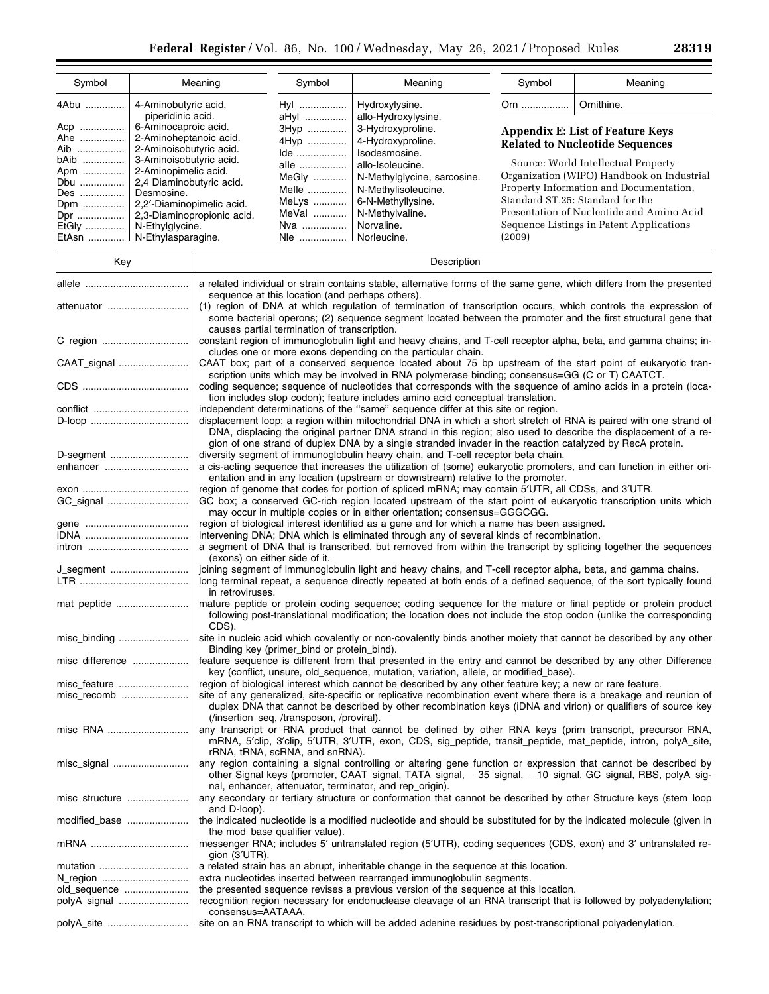| Symbol                                                                                                                                                                                                                                          |                                           | Meaning                                                                                                                                                                                                                             | Symbol                                                                                                                                                                  | Meaning                                                                                                                                                                                                                              | Symbol | Meaning                                    |
|-------------------------------------------------------------------------------------------------------------------------------------------------------------------------------------------------------------------------------------------------|-------------------------------------------|-------------------------------------------------------------------------------------------------------------------------------------------------------------------------------------------------------------------------------------|-------------------------------------------------------------------------------------------------------------------------------------------------------------------------|--------------------------------------------------------------------------------------------------------------------------------------------------------------------------------------------------------------------------------------|--------|--------------------------------------------|
| 4Abu                                                                                                                                                                                                                                            | 4-Aminobutyric acid,<br>piperidinic acid. |                                                                                                                                                                                                                                     | Hyl<br>aHyl                                                                                                                                                             | Hydroxylysine.<br>allo-Hydroxylysine.                                                                                                                                                                                                | Orn    | Ornithine.                                 |
| Acp                                                                                                                                                                                                                                             | 6-Aminocaproic acid.                      |                                                                                                                                                                                                                                     | 3Hyp                                                                                                                                                                    | 3-Hydroxyproline.                                                                                                                                                                                                                    |        | <b>Appendix E: List of Feature Keys</b>    |
| Ahe                                                                                                                                                                                                                                             | 2-Aminoheptanoic acid.                    |                                                                                                                                                                                                                                     | 4Hyp                                                                                                                                                                    | 4-Hydroxyproline.                                                                                                                                                                                                                    |        |                                            |
| Aib                                                                                                                                                                                                                                             | 2-Aminoisobutyric acid.                   |                                                                                                                                                                                                                                     | Ide                                                                                                                                                                     | Isodesmosine.                                                                                                                                                                                                                        |        | <b>Related to Nucleotide Sequences</b>     |
| bAib                                                                                                                                                                                                                                            | 3-Aminoisobutyric acid.                   |                                                                                                                                                                                                                                     | alle                                                                                                                                                                    | allo-Isoleucine.                                                                                                                                                                                                                     |        | Source: World Intellectual Property        |
| Apm                                                                                                                                                                                                                                             | 2-Aminopimelic acid.                      |                                                                                                                                                                                                                                     | MeGly                                                                                                                                                                   | N-Methylglycine, sarcosine.                                                                                                                                                                                                          |        | Organization (WIPO) Handbook on Industrial |
| Dbu                                                                                                                                                                                                                                             | 2,4 Diaminobutyric acid.<br>Desmosine.    |                                                                                                                                                                                                                                     | Melle                                                                                                                                                                   | N-Methylisoleucine.                                                                                                                                                                                                                  |        | Property Information and Documentation,    |
| Des<br>Dpm                                                                                                                                                                                                                                      | 2,2'-Diaminopimelic acid.                 |                                                                                                                                                                                                                                     | MeLys                                                                                                                                                                   | 6-N-Methyllysine.                                                                                                                                                                                                                    |        | Standard ST.25: Standard for the           |
| Dpr                                                                                                                                                                                                                                             |                                           | 2,3-Diaminopropionic acid.                                                                                                                                                                                                          | MeVal                                                                                                                                                                   | N-Methylvaline.                                                                                                                                                                                                                      |        | Presentation of Nucleotide and Amino Acid  |
| EtGly                                                                                                                                                                                                                                           | N-Ethylglycine.                           |                                                                                                                                                                                                                                     | Nva                                                                                                                                                                     | Norvaline.                                                                                                                                                                                                                           |        | Sequence Listings in Patent Applications   |
| EtAsn    N-Ethylasparagine.                                                                                                                                                                                                                     |                                           |                                                                                                                                                                                                                                     | Nie    Norleucine.                                                                                                                                                      |                                                                                                                                                                                                                                      | (2009) |                                            |
| Key                                                                                                                                                                                                                                             |                                           | Description                                                                                                                                                                                                                         |                                                                                                                                                                         |                                                                                                                                                                                                                                      |        |                                            |
|                                                                                                                                                                                                                                                 |                                           |                                                                                                                                                                                                                                     | a related individual or strain contains stable, alternative forms of the same gene, which differs from the presented<br>sequence at this location (and perhaps others). |                                                                                                                                                                                                                                      |        |                                            |
| attenuator                                                                                                                                                                                                                                      |                                           |                                                                                                                                                                                                                                     |                                                                                                                                                                         | (1) region of DNA at which regulation of termination of transcription occurs, which controls the expression of                                                                                                                       |        |                                            |
|                                                                                                                                                                                                                                                 |                                           |                                                                                                                                                                                                                                     | causes partial termination of transcription.                                                                                                                            | some bacterial operons; (2) sequence segment located between the promoter and the first structural gene that                                                                                                                         |        |                                            |
|                                                                                                                                                                                                                                                 |                                           |                                                                                                                                                                                                                                     |                                                                                                                                                                         | constant region of immunoglobulin light and heavy chains, and T-cell receptor alpha, beta, and gamma chains; in-                                                                                                                     |        |                                            |
|                                                                                                                                                                                                                                                 |                                           |                                                                                                                                                                                                                                     |                                                                                                                                                                         | cludes one or more exons depending on the particular chain.                                                                                                                                                                          |        |                                            |
| CAAT_signal                                                                                                                                                                                                                                     |                                           |                                                                                                                                                                                                                                     |                                                                                                                                                                         | CAAT box; part of a conserved sequence located about 75 bp upstream of the start point of eukaryotic tran-<br>scription units which may be involved in RNA polymerase binding; consensus=GG (C or T) CAATCT.                         |        |                                            |
|                                                                                                                                                                                                                                                 |                                           |                                                                                                                                                                                                                                     |                                                                                                                                                                         | coding sequence; sequence of nucleotides that corresponds with the sequence of amino acids in a protein (loca-                                                                                                                       |        |                                            |
|                                                                                                                                                                                                                                                 |                                           |                                                                                                                                                                                                                                     |                                                                                                                                                                         | tion includes stop codon); feature includes amino acid conceptual translation.                                                                                                                                                       |        |                                            |
|                                                                                                                                                                                                                                                 |                                           |                                                                                                                                                                                                                                     |                                                                                                                                                                         | independent determinations of the "same" sequence differ at this site or region.                                                                                                                                                     |        |                                            |
|                                                                                                                                                                                                                                                 |                                           |                                                                                                                                                                                                                                     |                                                                                                                                                                         | displacement loop; a region within mitochondrial DNA in which a short stretch of RNA is paired with one strand of<br>DNA, displacing the original partner DNA strand in this region; also used to describe the displacement of a re- |        |                                            |
|                                                                                                                                                                                                                                                 |                                           |                                                                                                                                                                                                                                     |                                                                                                                                                                         | gion of one strand of duplex DNA by a single stranded invader in the reaction catalyzed by RecA protein.                                                                                                                             |        |                                            |
| D-segment                                                                                                                                                                                                                                       |                                           |                                                                                                                                                                                                                                     |                                                                                                                                                                         | diversity segment of immunoglobulin heavy chain, and T-cell receptor beta chain.                                                                                                                                                     |        |                                            |
| enhancer                                                                                                                                                                                                                                        |                                           | a cis-acting sequence that increases the utilization of (some) eukaryotic promoters, and can function in either ori-<br>entation and in any location (upstream or downstream) relative to the promoter.                             |                                                                                                                                                                         |                                                                                                                                                                                                                                      |        |                                            |
|                                                                                                                                                                                                                                                 |                                           |                                                                                                                                                                                                                                     |                                                                                                                                                                         |                                                                                                                                                                                                                                      |        |                                            |
|                                                                                                                                                                                                                                                 |                                           | region of genome that codes for portion of spliced mRNA; may contain 5'UTR, all CDSs, and 3'UTR.<br>GC box; a conserved GC-rich region located upstream of the start point of eukaryotic transcription units which                  |                                                                                                                                                                         |                                                                                                                                                                                                                                      |        |                                            |
|                                                                                                                                                                                                                                                 |                                           | may occur in multiple copies or in either orientation; consensus=GGGCGG.                                                                                                                                                            |                                                                                                                                                                         |                                                                                                                                                                                                                                      |        |                                            |
|                                                                                                                                                                                                                                                 |                                           |                                                                                                                                                                                                                                     |                                                                                                                                                                         | region of biological interest identified as a gene and for which a name has been assigned.                                                                                                                                           |        |                                            |
|                                                                                                                                                                                                                                                 |                                           |                                                                                                                                                                                                                                     |                                                                                                                                                                         | intervening DNA; DNA which is eliminated through any of several kinds of recombination.<br>a segment of DNA that is transcribed, but removed from within the transcript by splicing together the sequences                           |        |                                            |
|                                                                                                                                                                                                                                                 |                                           | (exons) on either side of it.                                                                                                                                                                                                       |                                                                                                                                                                         |                                                                                                                                                                                                                                      |        |                                            |
| J_segment<br>joining segment of immunoglobulin light and heavy chains, and T-cell receptor alpha, beta, and gamma chains.<br>long terminal repeat, a sequence directly repeated at both ends of a defined sequence, of the sort typically found |                                           |                                                                                                                                                                                                                                     |                                                                                                                                                                         |                                                                                                                                                                                                                                      |        |                                            |
|                                                                                                                                                                                                                                                 |                                           | in retroviruses.                                                                                                                                                                                                                    |                                                                                                                                                                         |                                                                                                                                                                                                                                      |        |                                            |
| mat_peptide                                                                                                                                                                                                                                     |                                           | mature peptide or protein coding sequence; coding sequence for the mature or final peptide or protein product<br>following post-translational modification; the location does not include the stop codon (unlike the corresponding  |                                                                                                                                                                         |                                                                                                                                                                                                                                      |        |                                            |
| misc_binding                                                                                                                                                                                                                                    |                                           | CDS).<br>site in nucleic acid which covalently or non-covalently binds another moiety that cannot be described by any other                                                                                                         |                                                                                                                                                                         |                                                                                                                                                                                                                                      |        |                                            |
|                                                                                                                                                                                                                                                 |                                           | Binding key (primer_bind or protein_bind).                                                                                                                                                                                          |                                                                                                                                                                         |                                                                                                                                                                                                                                      |        |                                            |
| misc_difference                                                                                                                                                                                                                                 |                                           |                                                                                                                                                                                                                                     |                                                                                                                                                                         | feature sequence is different from that presented in the entry and cannot be described by any other Difference<br>key (conflict, unsure, old_sequence, mutation, variation, allele, or modified_base).                               |        |                                            |
| misc_feature                                                                                                                                                                                                                                    |                                           | region of biological interest which cannot be described by any other feature key; a new or rare feature.                                                                                                                            |                                                                                                                                                                         |                                                                                                                                                                                                                                      |        |                                            |
| misc_recomb                                                                                                                                                                                                                                     |                                           | site of any generalized, site-specific or replicative recombination event where there is a breakage and reunion of<br>duplex DNA that cannot be described by other recombination keys (iDNA and virion) or qualifiers of source key |                                                                                                                                                                         |                                                                                                                                                                                                                                      |        |                                            |
|                                                                                                                                                                                                                                                 |                                           |                                                                                                                                                                                                                                     | (/insertion_seq, /transposon, /proviral).                                                                                                                               |                                                                                                                                                                                                                                      |        |                                            |
| misc_RNA                                                                                                                                                                                                                                        |                                           |                                                                                                                                                                                                                                     |                                                                                                                                                                         | any transcript or RNA product that cannot be defined by other RNA keys (prim_transcript, precursor_RNA,                                                                                                                              |        |                                            |
|                                                                                                                                                                                                                                                 |                                           |                                                                                                                                                                                                                                     |                                                                                                                                                                         | mRNA, 5'clip, 3'clip, 5'UTR, 3'UTR, exon, CDS, sig_peptide, transit_peptide, mat_peptide, intron, polyA_site,                                                                                                                        |        |                                            |
|                                                                                                                                                                                                                                                 |                                           |                                                                                                                                                                                                                                     | rRNA, tRNA, scRNA, and snRNA).                                                                                                                                          | any region containing a signal controlling or altering gene function or expression that cannot be described by                                                                                                                       |        |                                            |
|                                                                                                                                                                                                                                                 |                                           |                                                                                                                                                                                                                                     |                                                                                                                                                                         | other Signal keys (promoter, CAAT_signal, TATA_signal, -35_signal, -10_signal, GC_signal, RBS, polyA_sig-                                                                                                                            |        |                                            |
|                                                                                                                                                                                                                                                 |                                           |                                                                                                                                                                                                                                     |                                                                                                                                                                         | nal, enhancer, attenuator, terminator, and rep_origin).                                                                                                                                                                              |        |                                            |
| misc structure                                                                                                                                                                                                                                  |                                           |                                                                                                                                                                                                                                     |                                                                                                                                                                         | any secondary or tertiary structure or conformation that cannot be described by other Structure keys (stem_loop                                                                                                                      |        |                                            |
|                                                                                                                                                                                                                                                 |                                           | and D-loop).                                                                                                                                                                                                                        |                                                                                                                                                                         |                                                                                                                                                                                                                                      |        |                                            |
| modified_base                                                                                                                                                                                                                                   |                                           |                                                                                                                                                                                                                                     | the mod_base qualifier value).                                                                                                                                          | the indicated nucleotide is a modified nucleotide and should be substituted for by the indicated molecule (given in                                                                                                                  |        |                                            |
|                                                                                                                                                                                                                                                 |                                           |                                                                                                                                                                                                                                     |                                                                                                                                                                         | messenger RNA; includes 5' untranslated region (5'UTR), coding sequences (CDS, exon) and 3' untranslated re-                                                                                                                         |        |                                            |
|                                                                                                                                                                                                                                                 |                                           | gion $(3'UTR)$ .                                                                                                                                                                                                                    |                                                                                                                                                                         |                                                                                                                                                                                                                                      |        |                                            |
| mutation                                                                                                                                                                                                                                        |                                           |                                                                                                                                                                                                                                     |                                                                                                                                                                         | a related strain has an abrupt, inheritable change in the sequence at this location.                                                                                                                                                 |        |                                            |
| N_region                                                                                                                                                                                                                                        |                                           |                                                                                                                                                                                                                                     |                                                                                                                                                                         | extra nucleotides inserted between rearranged immunoglobulin segments.                                                                                                                                                               |        |                                            |
| old_sequence<br>polyA_signal                                                                                                                                                                                                                    |                                           |                                                                                                                                                                                                                                     |                                                                                                                                                                         | the presented sequence revises a previous version of the sequence at this location.<br>recognition region necessary for endonuclease cleavage of an RNA transcript that is followed by polyadenylation;                              |        |                                            |
|                                                                                                                                                                                                                                                 |                                           | consensus=AATAAA.                                                                                                                                                                                                                   |                                                                                                                                                                         |                                                                                                                                                                                                                                      |        |                                            |

polyA\_site ............................. site on an RNA transcript to which will be added adenine residues by post-transcriptional polyadenylation.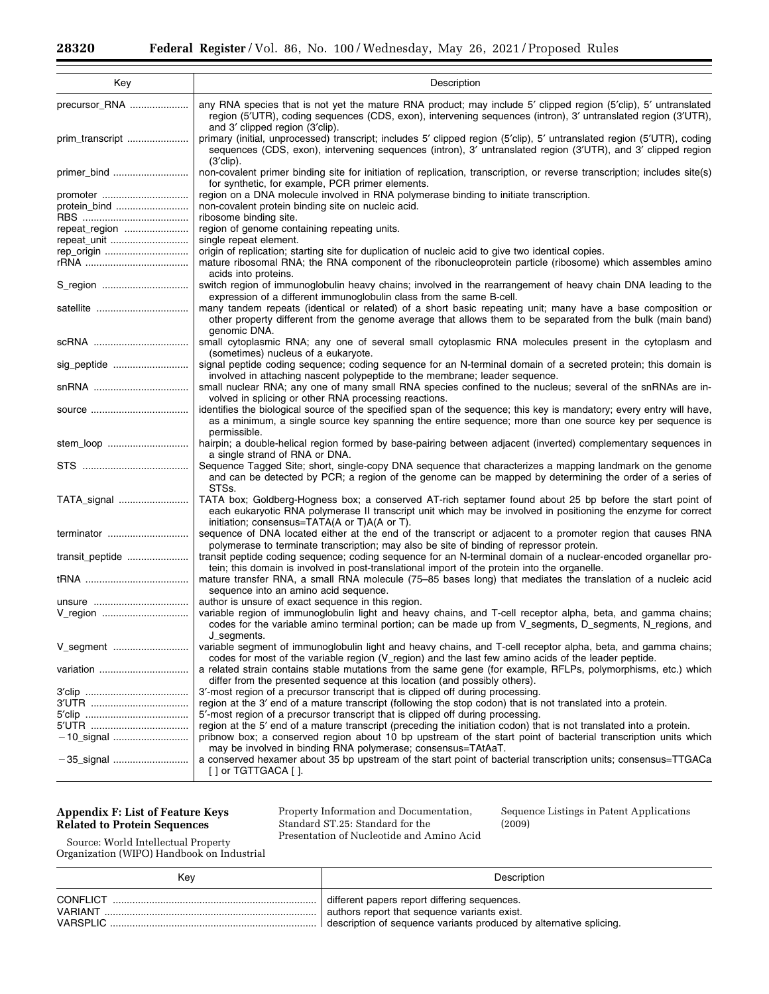| Key             | Description                                                                                                                                                                                                                                                               |
|-----------------|---------------------------------------------------------------------------------------------------------------------------------------------------------------------------------------------------------------------------------------------------------------------------|
| precursor_RNA   | any RNA species that is not yet the mature RNA product; may include 5' clipped region (5'clip), 5' untranslated<br>region (5'UTR), coding sequences (CDS, exon), intervening sequences (intron), 3' untranslated region (3'UTR),<br>and 3' clipped region (3'clip).       |
| prim_transcript | primary (initial, unprocessed) transcript; includes 5' clipped region (5'clip), 5' untranslated region (5'UTR), coding<br>sequences (CDS, exon), intervening sequences (intron), 3' untranslated region (3'UTR), and 3' clipped region<br>$(3^{\prime}$ clip).            |
| primer_bind     | non-covalent primer binding site for initiation of replication, transcription, or reverse transcription; includes site(s)<br>for synthetic, for example, PCR primer elements.                                                                                             |
| promoter        | region on a DNA molecule involved in RNA polymerase binding to initiate transcription.                                                                                                                                                                                    |
| protein_bind    | non-covalent protein binding site on nucleic acid.                                                                                                                                                                                                                        |
| repeat_region   | ribosome binding site.<br>region of genome containing repeating units.                                                                                                                                                                                                    |
| repeat_unit     | single repeat element.                                                                                                                                                                                                                                                    |
| rep_origin      | origin of replication; starting site for duplication of nucleic acid to give two identical copies.                                                                                                                                                                        |
|                 | mature ribosomal RNA; the RNA component of the ribonucleoprotein particle (ribosome) which assembles amino                                                                                                                                                                |
|                 | acids into proteins.                                                                                                                                                                                                                                                      |
| S_region        | switch region of immunoglobulin heavy chains; involved in the rearrangement of heavy chain DNA leading to the<br>expression of a different immunoglobulin class from the same B-cell.                                                                                     |
| satellite       | many tandem repeats (identical or related) of a short basic repeating unit; many have a base composition or<br>other property different from the genome average that allows them to be separated from the bulk (main band)<br>genomic DNA.                                |
| scRNA           | small cytoplasmic RNA; any one of several small cytoplasmic RNA molecules present in the cytoplasm and<br>(sometimes) nucleus of a eukaryote.                                                                                                                             |
| sig_peptide     | signal peptide coding sequence; coding sequence for an N-terminal domain of a secreted protein; this domain is<br>involved in attaching nascent polypeptide to the membrane; leader sequence.                                                                             |
| snRNA           | small nuclear RNA; any one of many small RNA species confined to the nucleus; several of the snRNAs are in-<br>volved in splicing or other RNA processing reactions.                                                                                                      |
|                 | identifies the biological source of the specified span of the sequence; this key is mandatory; every entry will have,<br>as a minimum, a single source key spanning the entire sequence; more than one source key per sequence is<br>permissible.                         |
| stem_loop       | hairpin; a double-helical region formed by base-pairing between adjacent (inverted) complementary sequences in<br>a single strand of RNA or DNA.                                                                                                                          |
|                 | Sequence Tagged Site; short, single-copy DNA sequence that characterizes a mapping landmark on the genome<br>and can be detected by PCR; a region of the genome can be mapped by determining the order of a series of<br>STSs.                                            |
| TATA_signal     | TATA box; Goldberg-Hogness box; a conserved AT-rich septamer found about 25 bp before the start point of<br>each eukaryotic RNA polymerase II transcript unit which may be involved in positioning the enzyme for correct<br>initiation; consensus=TATA(A or T)A(A or T). |
| terminator      | sequence of DNA located either at the end of the transcript or adjacent to a promoter region that causes RNA<br>polymerase to terminate transcription; may also be site of binding of repressor protein.                                                                  |
| transit_peptide | transit peptide coding sequence; coding sequence for an N-terminal domain of a nuclear-encoded organellar pro-<br>tein; this domain is involved in post-translational import of the protein into the organelle.                                                           |
|                 | mature transfer RNA, a small RNA molecule (75–85 bases long) that mediates the translation of a nucleic acid<br>sequence into an amino acid sequence.                                                                                                                     |
| unsure          | author is unsure of exact sequence in this region.                                                                                                                                                                                                                        |
| V_region        | variable region of immunoglobulin light and heavy chains, and T-cell receptor alpha, beta, and gamma chains;<br>codes for the variable amino terminal portion; can be made up from V_segments, D_segments, N_regions, and                                                 |
| V_segment       | J_segments.<br>variable segment of immunoglobulin light and heavy chains, and T-cell receptor alpha, beta, and gamma chains;<br>codes for most of the variable region (V_region) and the last few amino acids of the leader peptide.                                      |
|                 | a related strain contains stable mutations from the same gene (for example, RFLPs, polymorphisms, etc.) which<br>differ from the presented sequence at this location (and possibly others).                                                                               |
|                 | 3'-most region of a precursor transcript that is clipped off during processing.                                                                                                                                                                                           |
|                 | region at the 3' end of a mature transcript (following the stop codon) that is not translated into a protein.                                                                                                                                                             |
|                 | 5'-most region of a precursor transcript that is clipped off during processing.                                                                                                                                                                                           |
|                 | region at the 5' end of a mature transcript (preceding the initiation codon) that is not translated into a protein.                                                                                                                                                       |
|                 | pribnow box; a conserved region about 10 bp upstream of the start point of bacterial transcription units which<br>may be involved in binding RNA polymerase; consensus=TAtAaT.                                                                                            |
|                 | a conserved hexamer about 35 bp upstream of the start point of bacterial transcription units; consensus=TTGACa<br>[ ] or TGTTGACA [ ].                                                                                                                                    |

## **Appendix F: List of Feature Keys Related to Protein Sequences**

Property Information and Documentation, Standard ST.25: Standard for the Presentation of Nucleotide and Amino Acid Sequence Listings in Patent Applications (2009)

Source: World Intellectual Property Organization (WIPO) Handbook on Industrial

| Kev            | Description                                                          |
|----------------|----------------------------------------------------------------------|
| CONFLICT       | different papers report differing sequences.                         |
| <b>VARIANT</b> | authors report that sequence variants exist.                         |
| VARSPLIC.      | I description of sequence variants produced by alternative splicing. |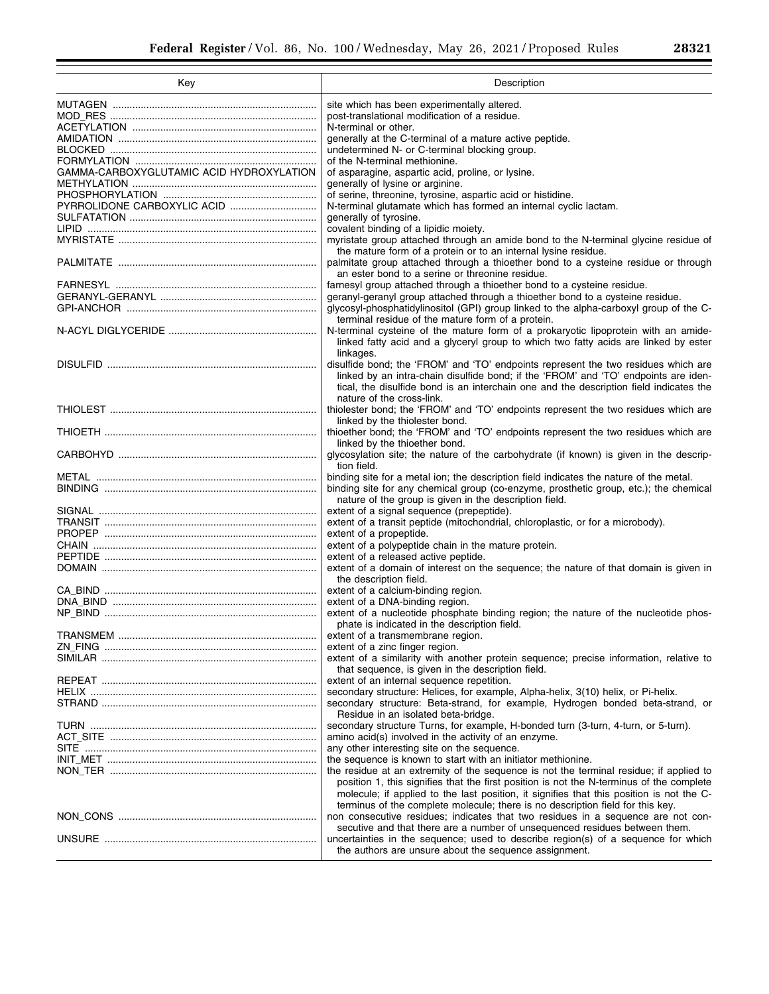| იიიი |  |
|------|--|
| 20J4 |  |

▀

| Key                                      | Description                                                                                                                           |  |
|------------------------------------------|---------------------------------------------------------------------------------------------------------------------------------------|--|
|                                          | site which has been experimentally altered.                                                                                           |  |
|                                          | post-translational modification of a residue.                                                                                         |  |
|                                          | N-terminal or other.                                                                                                                  |  |
|                                          | generally at the C-terminal of a mature active peptide.                                                                               |  |
|                                          | undetermined N- or C-terminal blocking group.                                                                                         |  |
|                                          | of the N-terminal methionine.                                                                                                         |  |
| GAMMA-CARBOXYGLUTAMIC ACID HYDROXYLATION | of asparagine, aspartic acid, proline, or lysine.                                                                                     |  |
|                                          | generally of lysine or arginine.                                                                                                      |  |
|                                          |                                                                                                                                       |  |
|                                          | of serine, threonine, tyrosine, aspartic acid or histidine.<br>N-terminal glutamate which has formed an internal cyclic lactam.       |  |
|                                          | generally of tyrosine.                                                                                                                |  |
|                                          | covalent binding of a lipidic moiety.                                                                                                 |  |
|                                          | myristate group attached through an amide bond to the N-terminal glycine residue of                                                   |  |
|                                          | the mature form of a protein or to an internal lysine residue.                                                                        |  |
|                                          | palmitate group attached through a thioether bond to a cysteine residue or through<br>an ester bond to a serine or threonine residue. |  |
|                                          | farnesyl group attached through a thioether bond to a cysteine residue.                                                               |  |
|                                          | geranyl-geranyl group attached through a thioether bond to a cysteine residue.                                                        |  |
|                                          | glycosyl-phosphatidylinositol (GPI) group linked to the alpha-carboxyl group of the C-                                                |  |
|                                          | terminal residue of the mature form of a protein.                                                                                     |  |
|                                          | N-terminal cysteine of the mature form of a prokaryotic lipoprotein with an amide-                                                    |  |
|                                          | linked fatty acid and a glyceryl group to which two fatty acids are linked by ester                                                   |  |
|                                          | linkages.                                                                                                                             |  |
|                                          | disulfide bond; the 'FROM' and 'TO' endpoints represent the two residues which are                                                    |  |
|                                          | linked by an intra-chain disulfide bond; if the 'FROM' and 'TO' endpoints are iden-                                                   |  |
|                                          | tical, the disulfide bond is an interchain one and the description field indicates the                                                |  |
|                                          | nature of the cross-link.                                                                                                             |  |
|                                          | thiolester bond; the 'FROM' and 'TO' endpoints represent the two residues which are                                                   |  |
|                                          | linked by the thiolester bond.                                                                                                        |  |
|                                          | thioether bond; the 'FROM' and 'TO' endpoints represent the two residues which are                                                    |  |
|                                          | linked by the thioether bond.                                                                                                         |  |
|                                          | glycosylation site; the nature of the carbohydrate (if known) is given in the descrip-                                                |  |
|                                          | tion field.                                                                                                                           |  |
|                                          | binding site for a metal ion; the description field indicates the nature of the metal.                                                |  |
|                                          | binding site for any chemical group (co-enzyme, prosthetic group, etc.); the chemical                                                 |  |
|                                          | nature of the group is given in the description field.                                                                                |  |
|                                          | extent of a signal sequence (prepeptide).                                                                                             |  |
|                                          | extent of a transit peptide (mitochondrial, chloroplastic, or for a microbody).                                                       |  |
|                                          | extent of a propeptide.                                                                                                               |  |
|                                          | extent of a polypeptide chain in the mature protein.                                                                                  |  |
|                                          | extent of a released active peptide.                                                                                                  |  |
|                                          | extent of a domain of interest on the sequence; the nature of that domain is given in                                                 |  |
|                                          | the description field.                                                                                                                |  |
|                                          | extent of a calcium-binding region.                                                                                                   |  |
|                                          | extent of a DNA-binding region.                                                                                                       |  |
|                                          | extent of a nucleotide phosphate binding region; the nature of the nucleotide phos-                                                   |  |
|                                          | phate is indicated in the description field.                                                                                          |  |
| <b>TRANSMEM</b>                          | extent of a transmembrane region.                                                                                                     |  |
|                                          | extent of a zinc finger region.                                                                                                       |  |
|                                          | extent of a similarity with another protein sequence; precise information, relative to                                                |  |
|                                          | that sequence, is given in the description field.                                                                                     |  |
|                                          | extent of an internal sequence repetition.                                                                                            |  |
|                                          | secondary structure: Helices, for example, Alpha-helix, 3(10) helix, or Pi-helix.                                                     |  |
|                                          | secondary structure: Beta-strand, for example, Hydrogen bonded beta-strand, or                                                        |  |
|                                          | Residue in an isolated beta-bridge.                                                                                                   |  |
|                                          | secondary structure Turns, for example, H-bonded turn (3-turn, 4-turn, or 5-turn).                                                    |  |
|                                          | amino acid(s) involved in the activity of an enzyme.                                                                                  |  |
|                                          | any other interesting site on the sequence.                                                                                           |  |
|                                          | the sequence is known to start with an initiator methionine.                                                                          |  |
|                                          | the residue at an extremity of the sequence is not the terminal residue; if applied to                                                |  |
|                                          | position 1, this signifies that the first position is not the N-terminus of the complete                                              |  |
|                                          | molecule; if applied to the last position, it signifies that this position is not the C-                                              |  |
|                                          | terminus of the complete molecule; there is no description field for this key.                                                        |  |
|                                          | non consecutive residues; indicates that two residues in a sequence are not con-                                                      |  |
|                                          | secutive and that there are a number of unsequenced residues between them.                                                            |  |
|                                          | uncertainties in the sequence; used to describe region(s) of a sequence for which                                                     |  |
|                                          | the authors are unsure about the sequence assignment.                                                                                 |  |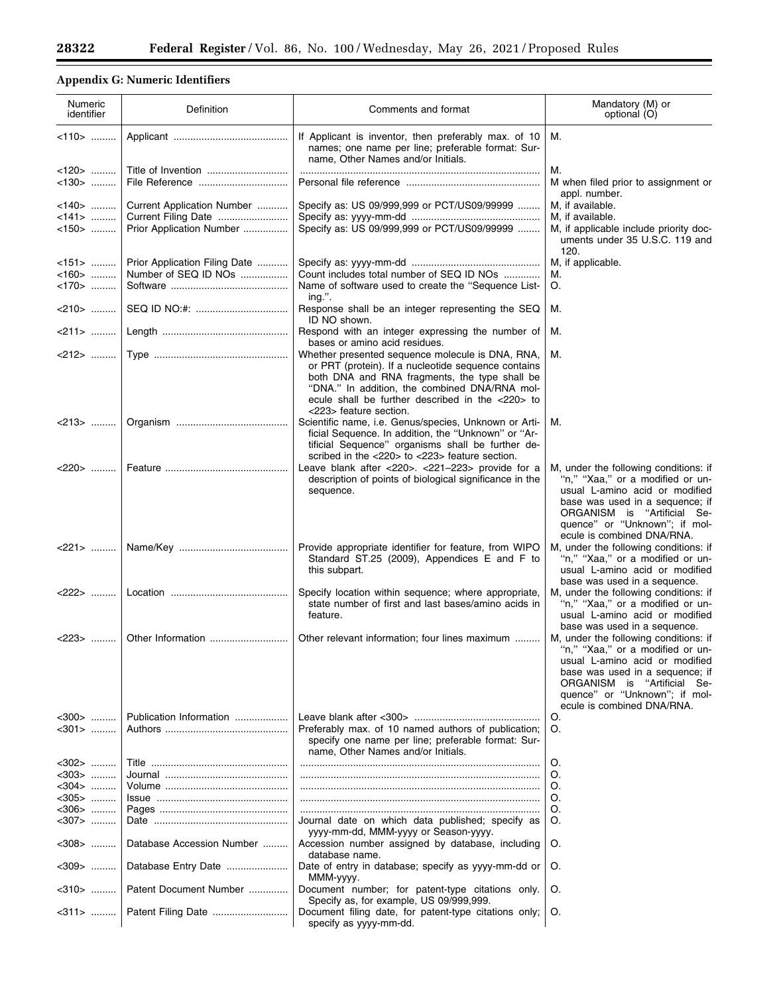# **Appendix G: Numeric Identifiers**

| Numeric<br>identifier                  | Definition                                                                    | Comments and format                                                                                                                                                                                                                                                                     | Mandatory (M) or<br>optional (O)                                                                                                                                                                                                             |
|----------------------------------------|-------------------------------------------------------------------------------|-----------------------------------------------------------------------------------------------------------------------------------------------------------------------------------------------------------------------------------------------------------------------------------------|----------------------------------------------------------------------------------------------------------------------------------------------------------------------------------------------------------------------------------------------|
| <110> ………                              |                                                                               | If Applicant is inventor, then preferably max. of 10<br>names; one name per line; preferable format: Sur-<br>name, Other Names and/or Initials.                                                                                                                                         | М.                                                                                                                                                                                                                                           |
| <120> ………<br><130>                     | File Reference                                                                |                                                                                                                                                                                                                                                                                         | М.<br>M when filed prior to assignment or                                                                                                                                                                                                    |
| <140><br>-141><br><150>                | Current Application Number<br>Current Filing Date<br>Prior Application Number | Specify as: US 09/999,999 or PCT/US09/99999<br>Specify as: US 09/999,999 or PCT/US09/99999                                                                                                                                                                                              | appl. number.<br>M, if available.<br>M, if available.<br>M, if applicable include priority doc-<br>uments under 35 U.S.C. 119 and<br>120.                                                                                                    |
| $<151$<br>$<160$ $<$ $\ldots$<br><170> | Prior Application Filing Date<br>Number of SEQ ID NOs                         | Count includes total number of SEQ ID NOs<br>Name of software used to create the "Sequence List-                                                                                                                                                                                        | M, if applicable.<br>M.<br>O.                                                                                                                                                                                                                |
| <210>                                  |                                                                               | ing.".<br>Response shall be an integer representing the SEQ<br>ID NO shown.                                                                                                                                                                                                             | M.                                                                                                                                                                                                                                           |
| <211>                                  |                                                                               | Respond with an integer expressing the number of<br>bases or amino acid residues.                                                                                                                                                                                                       | М.                                                                                                                                                                                                                                           |
|                                        |                                                                               | Whether presented sequence molecule is DNA, RNA,<br>or PRT (protein). If a nucleotide sequence contains<br>both DNA and RNA fragments, the type shall be<br>"DNA." In addition, the combined DNA/RNA mol-<br>ecule shall be further described in the <220> to<br><223> feature section. | М.                                                                                                                                                                                                                                           |
| <213>                                  |                                                                               | Scientific name, i.e. Genus/species, Unknown or Arti-<br>ficial Sequence. In addition, the "Unknown" or "Ar-<br>tificial Sequence" organisms shall be further de-<br>scribed in the <220> to <223> feature section.                                                                     | М.                                                                                                                                                                                                                                           |
| <220>                                  |                                                                               | Leave blank after <220>. <221-223> provide for a<br>description of points of biological significance in the<br>sequence.                                                                                                                                                                | M, under the following conditions: if<br>"n," "Xaa," or a modified or un-<br>usual L-amino acid or modified<br>base was used in a sequence; if<br>ORGANISM is "Artificial Se-<br>quence" or "Unknown"; if mol-<br>ecule is combined DNA/RNA. |
|                                        |                                                                               | Provide appropriate identifier for feature, from WIPO<br>Standard ST.25 (2009), Appendices E and F to<br>this subpart.                                                                                                                                                                  | M, under the following conditions: if<br>"n," "Xaa," or a modified or un-<br>usual L-amino acid or modified<br>base was used in a sequence.                                                                                                  |
| $<222>$                                |                                                                               | Specify location within sequence; where appropriate,<br>state number of first and last bases/amino acids in<br>feature.                                                                                                                                                                 | M, under the following conditions: if<br>"n," "Xaa," or a modified or un-<br>usual L-amino acid or modified<br>base was used in a sequence.                                                                                                  |
| <223>                                  |                                                                               | Other relevant information; four lines maximum                                                                                                                                                                                                                                          | M, under the following conditions: if<br>"n," "Xaa," or a modified or un-<br>usual L-amino acid or modified<br>base was used in a sequence; if<br>ORGANISM is "Artificial Se-<br>quence" or "Unknown"; if mol-<br>ecule is combined DNA/RNA. |
| <300><br>$<$ 301>                      | Publication Information                                                       | Preferably max. of 10 named authors of publication;<br>specify one name per line; preferable format: Sur-<br>name, Other Names and/or Initials.                                                                                                                                         | O.<br>O.                                                                                                                                                                                                                                     |
| $<$ 302>                               | Title …………………………………………                                                        |                                                                                                                                                                                                                                                                                         | O.                                                                                                                                                                                                                                           |
| $<$ 303>                               |                                                                               |                                                                                                                                                                                                                                                                                         | O.                                                                                                                                                                                                                                           |
| <304><br><305>                         |                                                                               |                                                                                                                                                                                                                                                                                         | O.<br>O.                                                                                                                                                                                                                                     |
| <306>                                  |                                                                               |                                                                                                                                                                                                                                                                                         | O.                                                                                                                                                                                                                                           |
| <307>                                  |                                                                               | Journal date on which data published; specify as                                                                                                                                                                                                                                        | O.                                                                                                                                                                                                                                           |
| <308>                                  | Database Accession Number                                                     | yyyy-mm-dd, MMM-yyyy or Season-yyyy.<br>Accession number assigned by database, including<br>database name.                                                                                                                                                                              | O.                                                                                                                                                                                                                                           |
| $<$ 309>                               | Database Entry Date                                                           | Date of entry in database; specify as yyyy-mm-dd or<br>MMM-yyyy.                                                                                                                                                                                                                        | O.                                                                                                                                                                                                                                           |
| $<$ 310>                               | Patent Document Number                                                        | Document number; for patent-type citations only.<br>Specify as, for example, US 09/999,999.                                                                                                                                                                                             | O.                                                                                                                                                                                                                                           |
| $<$ 311>                               |                                                                               | Document filing date, for patent-type citations only;<br>specify as yyyy-mm-dd.                                                                                                                                                                                                         | O.                                                                                                                                                                                                                                           |